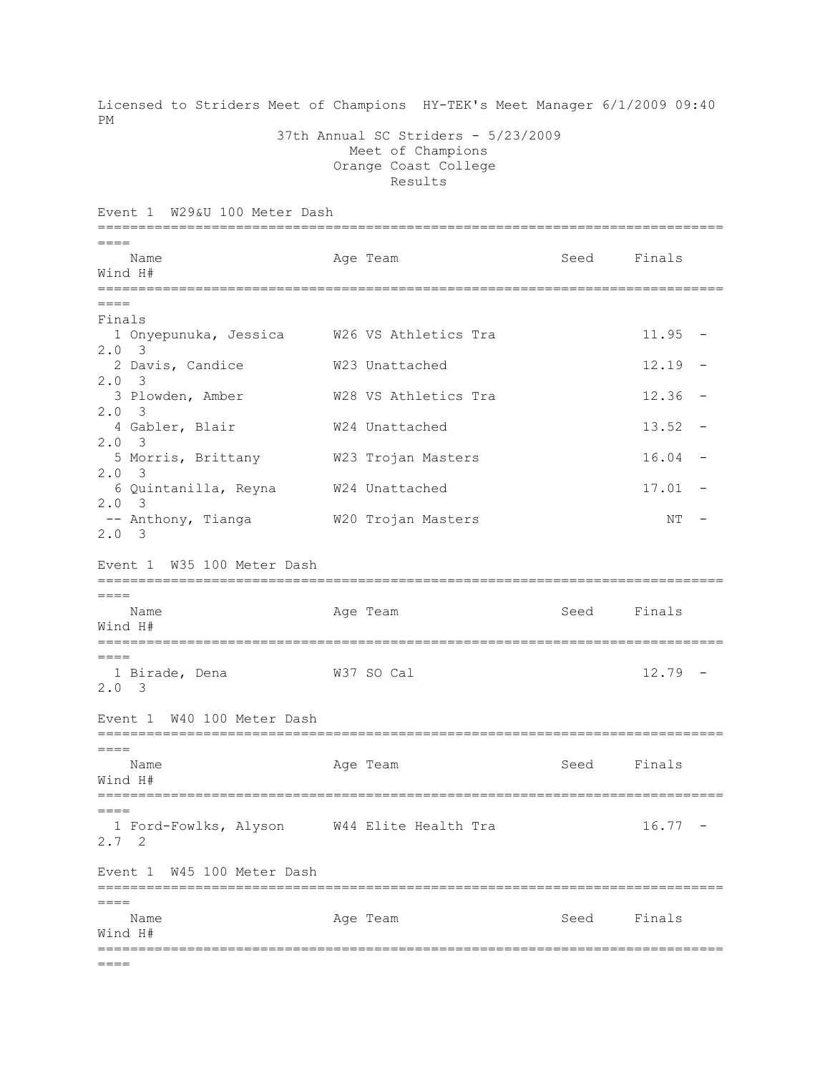Licensed to Striders Meet of Champions HY-TEK's Meet Manager 6/1/2009 09:40 PM 37th Annual SC Striders - 5/23/2009 Meet of Champions Orange Coast College Results Event 1 W29&U 100 Meter Dash =============================================================================  $---$ Name Age Team Seed Finals Wind H# =============================================================================  $----$ Finals 1 Onyepunuka, Jessica W26 VS Athletics Tra 11.95 - 2.0 3 2 Davis, Candice W23 Unattached 12.19 - 2.0 3 3 Plowden, Amber W28 VS Athletics Tra 12.36 - 2.0 3 4 Gabler, Blair  $W24$  Unattached 13.52 -2.0 3 5 Morris, Brittany W23 Trojan Masters 16.04 - 2.0 3 6 Quintanilla, Reyna W24 Unattached 17.01 - 2.0 3 -- Anthony, Tianga M20 Trojan Masters NT -2.0 3 Event 1 W35 100 Meter Dash =============================================================================  $----$ Name **Age Team** Age Team Seed Finals Wind H# =============================================================================  $----$  1 Birade, Dena W37 SO Cal 12.79 - 2.0 3 Event 1 W40 100 Meter Dash =============================================================================  $====$ Name Age Team Age Team Seed Finals Wind H# =============================================================================  $---$ 1 Ford-Fowlks, Alyson W44 Elite Health Tra  $16.77$  -2.7 2 Event 1 W45 100 Meter Dash =============================================================================  $====$ Name Age Team Seed Finals Wind H# =============================================================================  $====$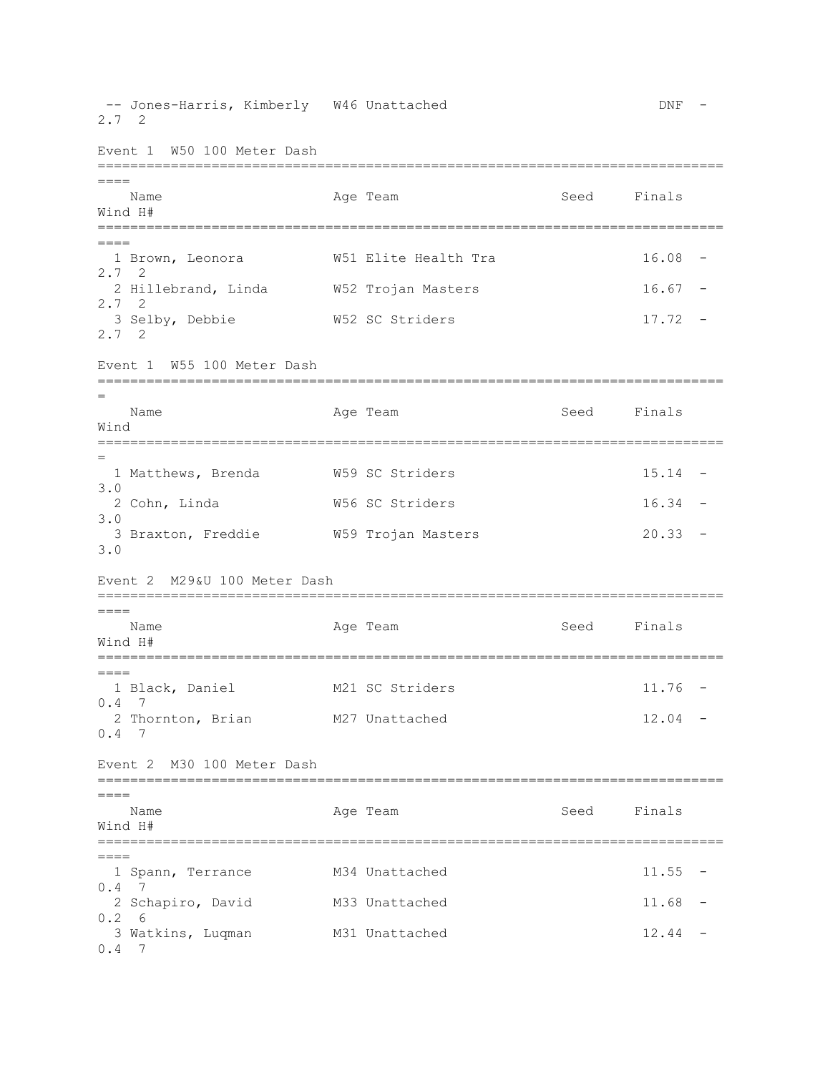-- Jones-Harris, Kimberly W46 Unattached DNF -2.7 2 Event 1 W50 100 Meter Dash =============================================================================  $=$ Name **Age Team** Age Team Seed Finals Wind H# ============================================================================= ==== 1 Brown, Leonora W51 Elite Health Tra 16.08 - 2.7 2 2 Hillebrand, Linda W52 Trojan Masters 16.67 - 2.7 2 3 Selby, Debbie W52 SC Striders 17.72 - 2.7 2 Event 1 W55 100 Meter Dash ============================================================================= = Name **Age Team** Age Team Seed Finals Wind ============================================================================= = 1 Matthews, Brenda M59 SC Striders 15.14 -3.0 2 Cohn, Linda W56 SC Striders 16.34 - 3.0 3 Braxton, Freddie W59 Trojan Masters 20.33 - 3.0 Event 2 M29&U 100 Meter Dash =============================================================================  $====$ Name Age Team Seed Finals Wind H# =============================================================================  $=$  1 Black, Daniel M21 SC Striders 11.76 - 0.4 7 2 Thornton, Brian M27 Unattached 12.04 - 0.4 7 Event 2 M30 100 Meter Dash =============================================================================  $----$ Name **Age Team** Age Team Seed Finals Wind H# =============================================================================  $=$ 1 Spann, Terrance M34 Unattached 11.55 -0.4 7 2 Schapiro, David M33 Unattached 11.68 - 0.2 6 3 Watkins, Luqman M31 Unattached 12.44 - 0.4 7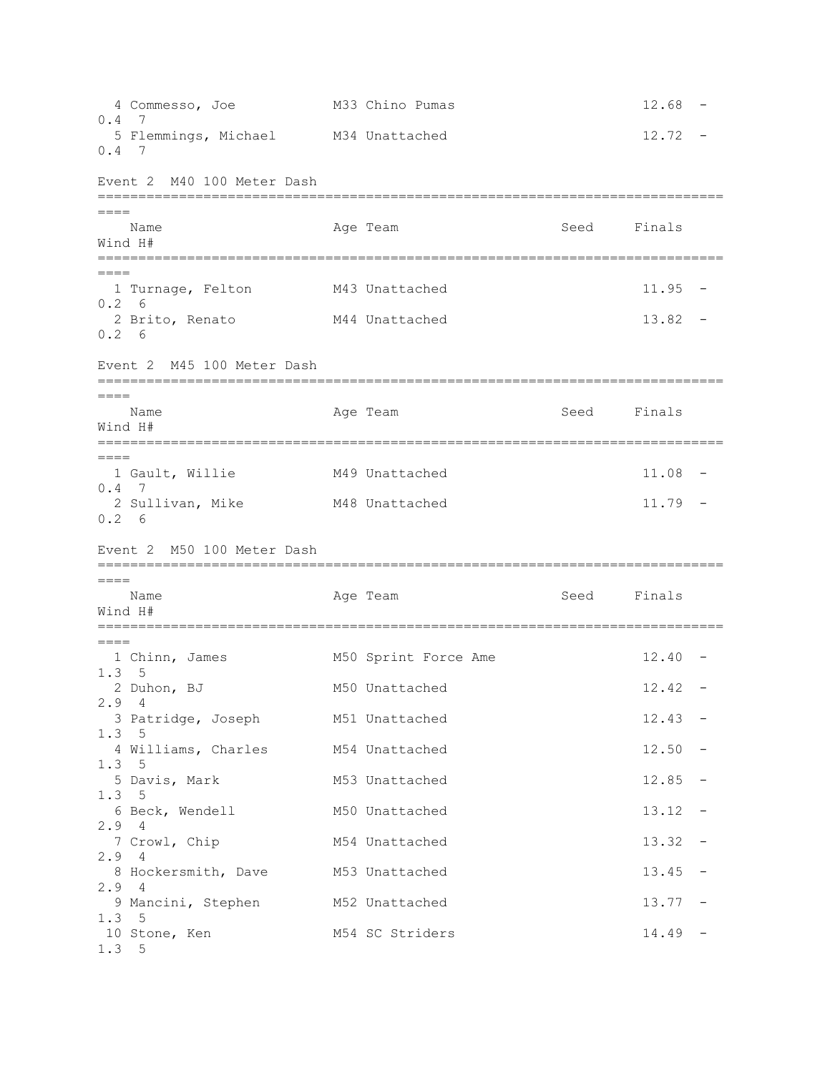4 Commesso, Joe M33 Chino Pumas 12.68 - 0.4 7 5 Flemmings, Michael M34 Unattached 12.72 -0.4 7 Event 2 M40 100 Meter Dash =============================================================================  $=$ Name **Age Team** Age Team Seed Finals Wind H# =============================================================================  $=$  1 Turnage, Felton M43 Unattached 11.95 - 0.2 6 2 Brito, Renato 13.82 - M44 Unattached 13.82 -0.2 6 Event 2 M45 100 Meter Dash ============================================================================= ==== Name **Age Team** Age Team Seed Finals Wind H# =============================================================================  $=$  1 Gault, Willie M49 Unattached 11.08 - 0.4 7 2 Sullivan, Mike M48 Unattached 11.79 - 0.2 6 Event 2 M50 100 Meter Dash ============================================================================= ==== Name **Age Team** Age Team Seed Finals Wind H# =============================================================================  $=$ 1 Chinn, James M50 Sprint Force Ame 12.40 -1.3 5 2 Duhon, BJ M50 Unattached 12.42 - 2.9 4 3 Patridge, Joseph 12.43 - M51 Unattached 12.43 -1.3 5 4 Williams, Charles M54 Unattached 12.50 -1.3 5 5 Davis, Mark M53 Unattached 12.85 -1.3 5 6 Beck, Wendell M50 Unattached 13.12 - 2.9 4 7 Crowl, Chip M54 Unattached 13.32 -2.9 4 8 Hockersmith, Dave M53 Unattached 13.45 -2.9 4 9 Mancini, Stephen M52 Unattached 13.77 -1.3 5 10 Stone, Ken M54 SC Striders 14.49 -1.3 5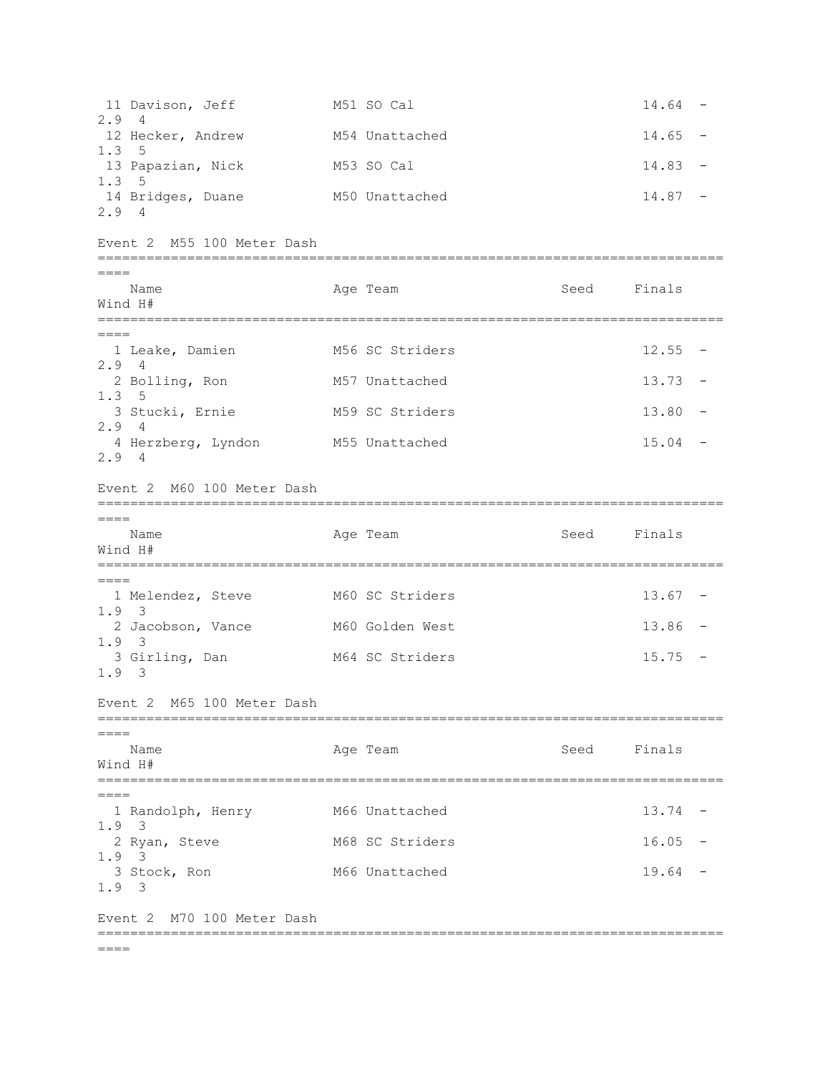11 Davison, Jeff M51 SO Cal 14.64 -2.9 4 12 Hecker, Andrew M54 Unattached 14.65 -1.3 5 13 Papazian, Nick M53 SO Cal 14.83 -1.3 5 14 Bridges, Duane M50 Unattached 14.87 -2.9 4 Event 2 M55 100 Meter Dash =============================================================================  $=$ Name **Age Team Age Team** Seed Finals Wind H# =============================================================================  $=$ 1 Leake, Damien M56 SC Striders 12.55 -2.9 4 2 Bolling, Ron M57 Unattached 13.73 -1.3 5 3 Stucki, Ernie M59 SC Striders 13.80 - 2.9 4 4 Herzberg, Lyndon M55 Unattached 15.04 -2.9 4 Event 2 M60 100 Meter Dash =============================================================================  $=$ Name Age Team Seed Finals Wind H# ============================================================================= ==== 1 Melendez, Steve M60 SC Striders 13.67 - 1.9 3 2 Jacobson, Vance M60 Golden West 13.86 -1.9 3 3 Girling, Dan M64 SC Striders 15.75 -1.9 3 Event 2 M65 100 Meter Dash =============================================================================  $=$ Name **Age Team** Age Team Seed Finals Wind H# =============================================================================  $----$ 1 Randolph, Henry M66 Unattached 13.74 -1.9 3 2 Ryan, Steve 16.05 M68 SC Striders 16.05 -1.9 3 3 Stock, Ron M66 Unattached 19.64 -1.9 3 Event 2 M70 100 Meter Dash =============================================================================  $=$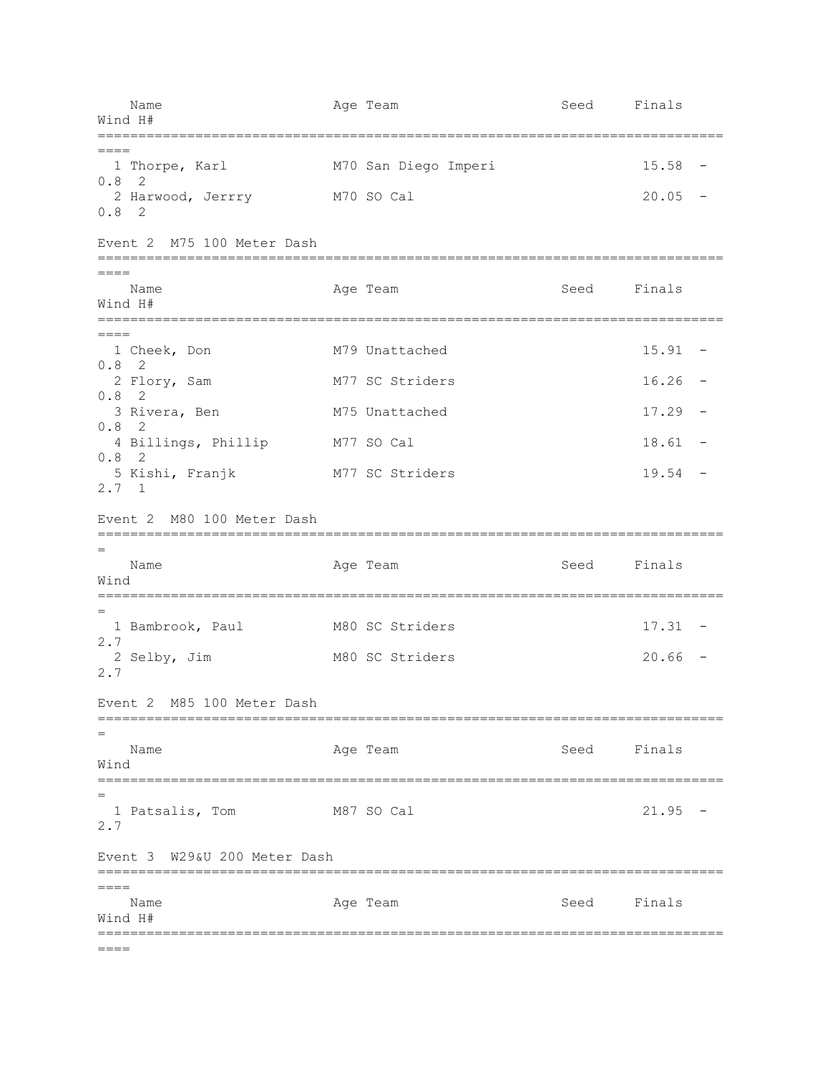Name Age Team Age Team Seed Finals Wind H# ============================================================================= ==== 1 Thorpe, Karl M70 San Diego Imperi 15.58 - 0.8 2 2 Harwood, Jerrry M70 SO Cal 20.05 - 0.8 2 Event 2 M75 100 Meter Dash =============================================================================  $=$ Name **Age Team** Age Team Seed Finals Wind H# =============================================================================  $=$ 1 Cheek, Don M79 Unattached 15.91 -0.8 2 2 Flory, Sam M77 SC Striders 16.26 -0.8 2 3 Rivera, Ben 17.29 M75 Unattached 17.29 -0.8 2 4 Billings, Phillip M77 SO Cal 18.61 -0.8 2 5 Kishi, Franjk M77 SC Striders 19.54 - 2.7 1 Event 2 M80 100 Meter Dash ============================================================================= = Name Age Team Age Team Seed Finals Wind ============================================================================= = 1 Bambrook, Paul M80 SC Striders 17.31 - 2.7 2 Selby, Jim M80 SC Striders 20.66 - 2.7 Event 2 M85 100 Meter Dash ============================================================================= = Name **Age Team** Age Team Seed Finals Wind ============================================================================= = 1 Patsalis, Tom M87 SO Cal 21.95 -2.7 Event 3 W29&U 200 Meter Dash =============================================================================  $=$ Name **Age Team** Age Team Seed Finals Wind H# =============================================================================  $=$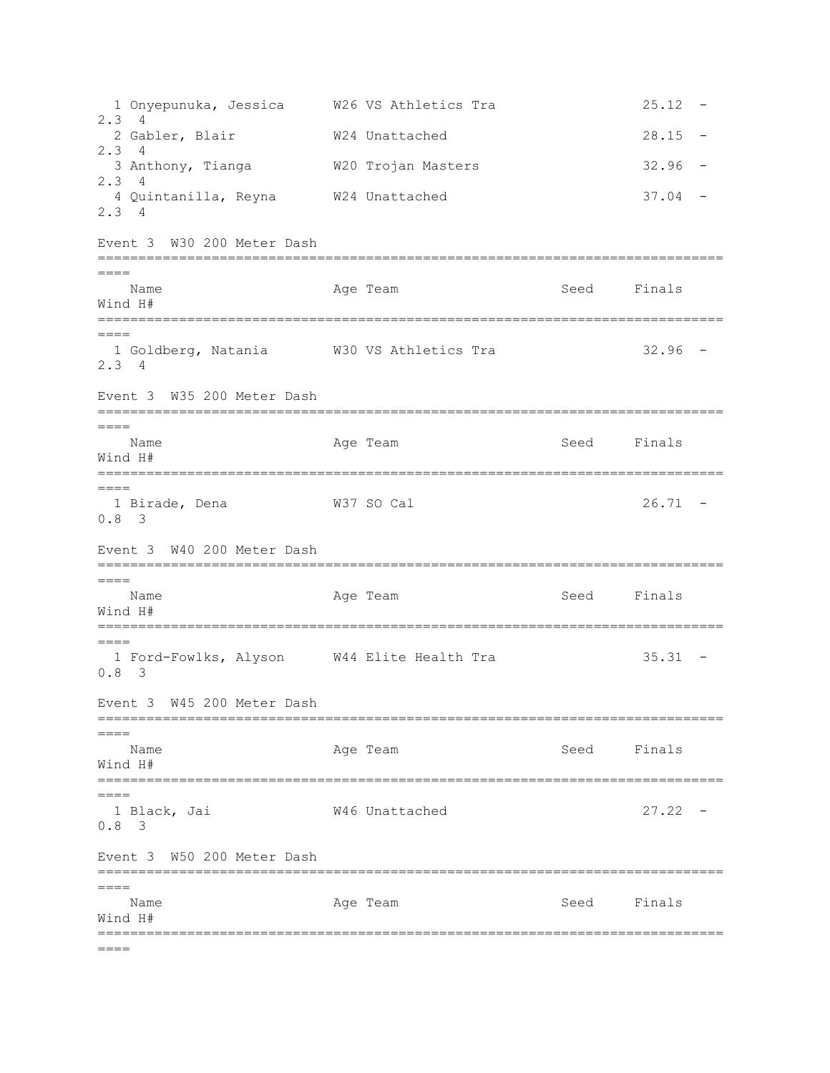1 Onyepunuka, Jessica W26 VS Athletics Tra 25.12 - 2.3 4 2 Gabler, Blair M24 Unattached 28.15 -2.3 4 3 Anthony, Tianga W20 Trojan Masters 32.96 - 2.3 4 4 Quintanilla, Reyna W24 Unattached 37.04 - 2.3 4 Event 3 W30 200 Meter Dash =============================================================================  $=$ Name **Age Team** Age Team Seed Finals Wind H# ============================================================================= ==== 1 Goldberg, Natania W30 VS Athletics Tra 32.96 - 2.3 4 Event 3 W35 200 Meter Dash =============================================================================  $=$ Name **Age Team** Age Team Seed Finals Wind H# =============================================================================  $====$  1 Birade, Dena W37 SO Cal 26.71 - 0.8 3 Event 3 W40 200 Meter Dash ============================================================================= ==== Name **Age Team** Age Team Seed Finals Wind H# ============================================================================= ==== 1 Ford-Fowlks, Alyson W44 Elite Health Tra 35.31 - 0.8 3 Event 3 W45 200 Meter Dash ============================================================================= ==== Name **Age Team** Age Team Seed Finals Wind H# =============================================================================  $----$  1 Black, Jai W46 Unattached 27.22 - 0.8 3 Event 3 W50 200 Meter Dash =============================================================================  $=$ Name **Age Team** Age Team Seed Finals Wind H# =============================================================================  $=$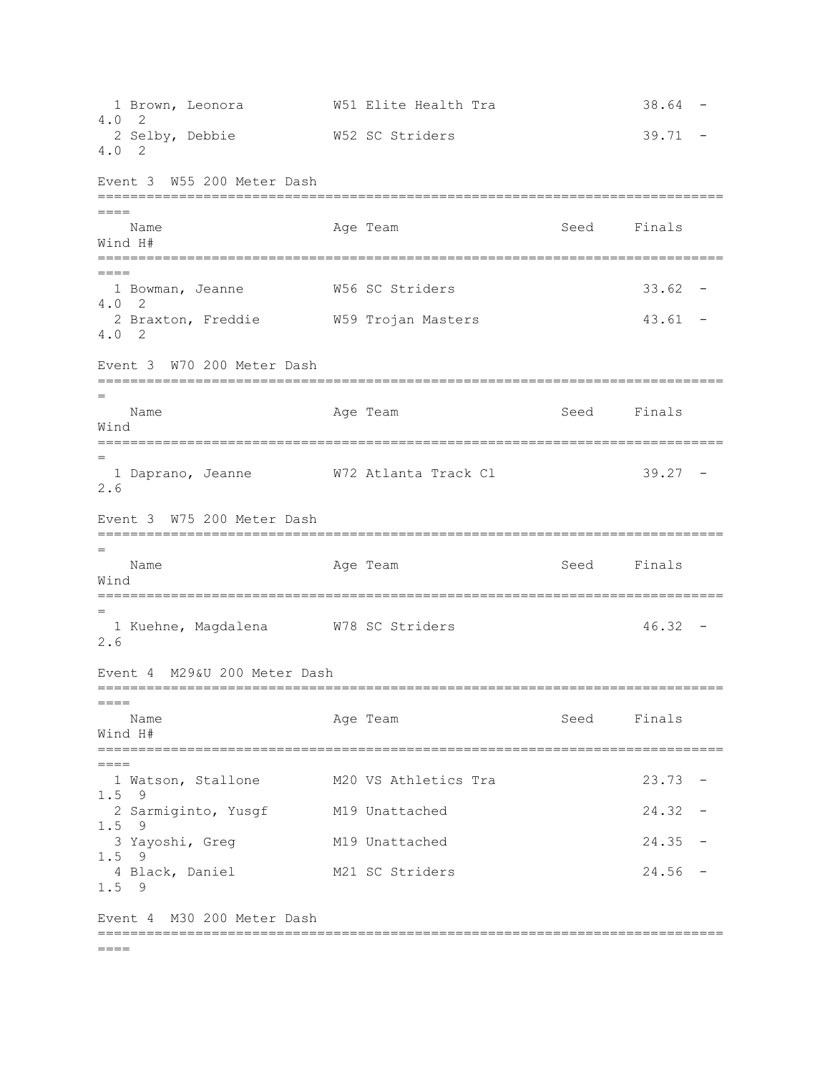1 Brown, Leonora 6 1 M51 Elite Health Tra 18.64 -4.0 2 2 Selby, Debbie  $W52$  SC Striders 39.71 -4.0 2 Event 3 W55 200 Meter Dash =============================================================================  $=$ Name **Age Team** Age Team Seed Finals Wind H# =============================================================================  $=$  1 Bowman, Jeanne W56 SC Striders 33.62 - 4.0 2 2 Braxton, Freddie  $W59$  Trojan Masters and Masters 43.61 -4.0 2 Event 3 W70 200 Meter Dash ============================================================================= = Name **Age Team** Age Team Seed Finals Wind ============================================================================= = 1 Daprano, Jeanne W72 Atlanta Track Cl 39.27 - 2.6 Event 3 W75 200 Meter Dash ============================================================================= = Name **Age Team** Age Team Seed Finals Wind ============================================================================= = 1 Kuehne, Magdalena  $N78$  SC Striders  $46.32$  -2.6 Event 4 M29&U 200 Meter Dash =============================================================================  $=$ Name Age Team Seed Finals Wind H# =============================================================================  $=$ 1 Watson, Stallone M20 VS Athletics Tra 23.73 -1.5 9 2 Sarmiginto, Yusgf M19 Unattached 24.32 -1.5 9 3 Yayoshi, Greg M19 Unattached 24.35 - 1.5 9 4 Black, Daniel M21 SC Striders 24.56 - 1.5 9 Event 4 M30 200 Meter Dash =============================================================================  $=$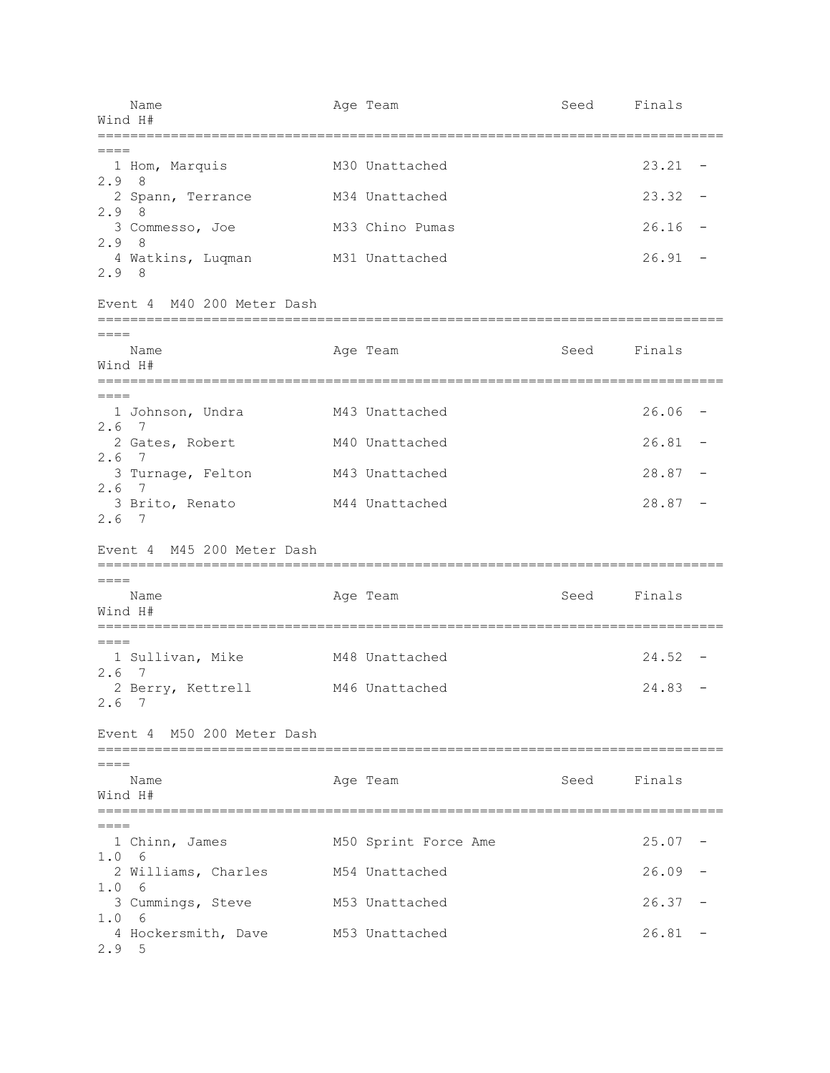| Name<br>Wind H#                             | Age Team             | Seed | Finals    |                          |
|---------------------------------------------|----------------------|------|-----------|--------------------------|
| 1 Hom, Marquis                              | M30 Unattached       |      | 23.21     | $\overline{\phantom{m}}$ |
| 2.9<br>8<br>2 Spann, Terrance               | M34 Unattached       |      | 23.32     | $\overline{\phantom{m}}$ |
| 2.98<br>3 Commesso, Joe                     | M33 Chino Pumas      |      | 26.16     | $\overline{\phantom{a}}$ |
| 2.98<br>4 Watkins, Luqman<br>2.98           | M31 Unattached       |      | 26.91     |                          |
| Event 4 M40 200 Meter Dash                  |                      |      |           |                          |
| $=====$<br>Name<br>Wind H#                  | Age Team             | Seed | Finals    |                          |
| $=====$<br>1 Johnson, Undra                 | M43 Unattached       |      | 26.06     |                          |
| 2.6<br>7<br>2 Gates, Robert                 | M40 Unattached       |      | 26.81     | $\overline{\phantom{m}}$ |
| $2.6$ 7<br>3 Turnage, Felton                | M43 Unattached       |      | $28.87 -$ |                          |
| $2.6$ 7<br>3 Brito, Renato<br>$2.6$ 7       | M44 Unattached       |      | 28.87     | $\overline{\phantom{a}}$ |
| Event 4 M45 200 Meter Dash                  |                      |      |           |                          |
| $====$<br>Name<br>Wind H#                   | Age Team             | Seed | Finals    |                          |
| $=====$<br>1 Sullivan, Mike                 | M48 Unattached       |      | 24.52     |                          |
| 2.6 7<br>2 Berry, Kettrell<br>$2.6$ 7       | M46 Unattached       |      | 24.83     |                          |
| Event 4 M50 200 Meter Dash                  |                      |      |           |                          |
| Name<br>Wind H#                             | Age Team             | Seed | Finals    |                          |
| $====$<br>1 Chinn, James                    | M50 Sprint Force Ame |      | 25.07     |                          |
| 1.0 6<br>2 Williams, Charles                | M54 Unattached       |      | 26.09     |                          |
| 1.0<br>- 6<br>3 Cummings, Steve             | M53 Unattached       |      | 26.37     |                          |
| 1.0<br>- 6<br>4 Hockersmith, Dave<br>2.9, 5 | M53 Unattached       |      | 26.81     |                          |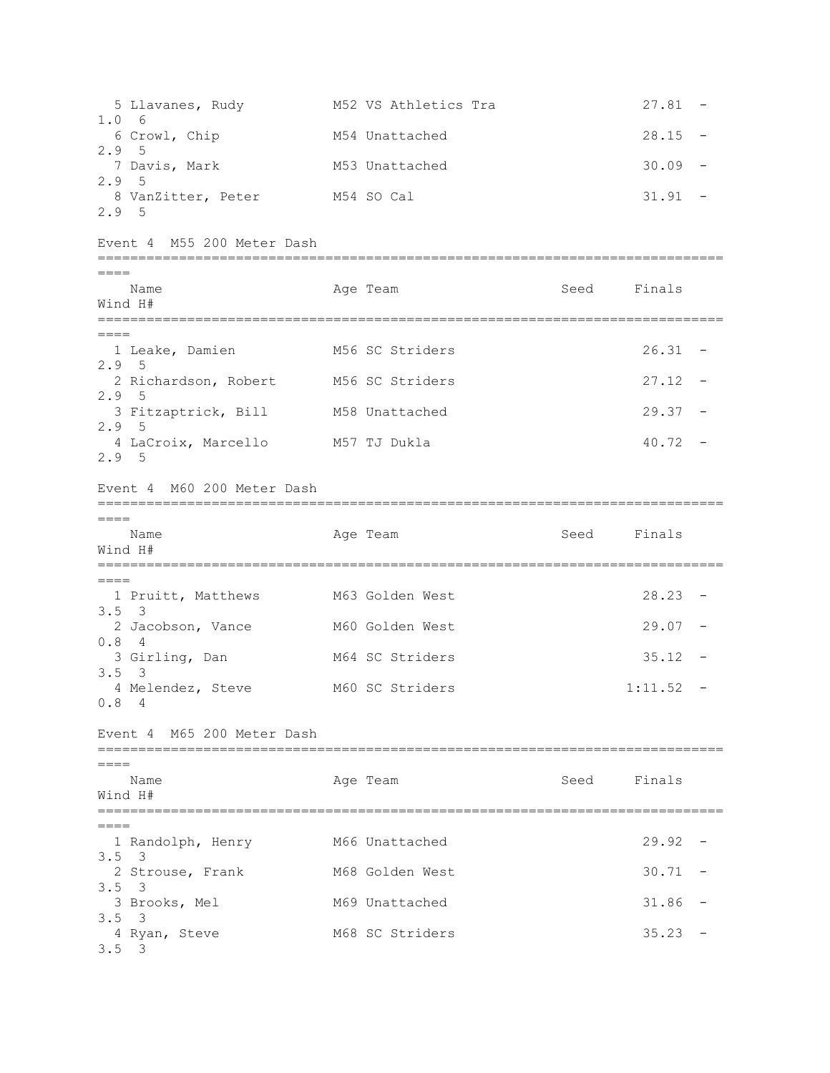5 Llavanes, Rudy M52 VS Athletics Tra 27.81 -1.0 6 6 Crowl, Chip M54 Unattached 28.15 -2.9 5 7 Davis, Mark M53 Unattached 30.09 - 2.9 5 8 VanZitter, Peter M54 SO Cal 31.91 -2.9 5 Event 4 M55 200 Meter Dash =============================================================================  $=$ Name **Age Team** Age Team Seed Finals Wind H# =============================================================================  $=$  1 Leake, Damien M56 SC Striders 26.31 - 2.9 5 2 Richardson, Robert M56 SC Striders 27.12 -2.9 5 3 Fitzaptrick, Bill M58 Unattached 29.37 - 2.9 5 4 LaCroix, Marcello M57 TJ Dukla 40.72 -2.9 5 Event 4 M60 200 Meter Dash =============================================================================  $=$ Name Age Team Seed Finals Wind H# ============================================================================= ==== 1 Pruitt, Matthews M63 Golden West 28.23 -3.5 3 2 Jacobson, Vance M60 Golden West 29.07 -0.8 4 3 Girling, Dan M64 SC Striders 35.12 -3.5 3 4 Melendez, Steve M60 SC Striders 1:11.52 -0.8 4 Event 4 M65 200 Meter Dash =============================================================================  $=$ Name **Age Team** Age Team Seed Finals Wind H# =============================================================================  $=$  1 Randolph, Henry M66 Unattached 29.92 - 3.5 3 2 Strouse, Frank M68 Golden West 30.71 -3.5 3 3 Brooks, Mel M69 Unattached 31.86 -3.5 3 4 Ryan, Steve M68 SC Striders 35.23 -3.5 3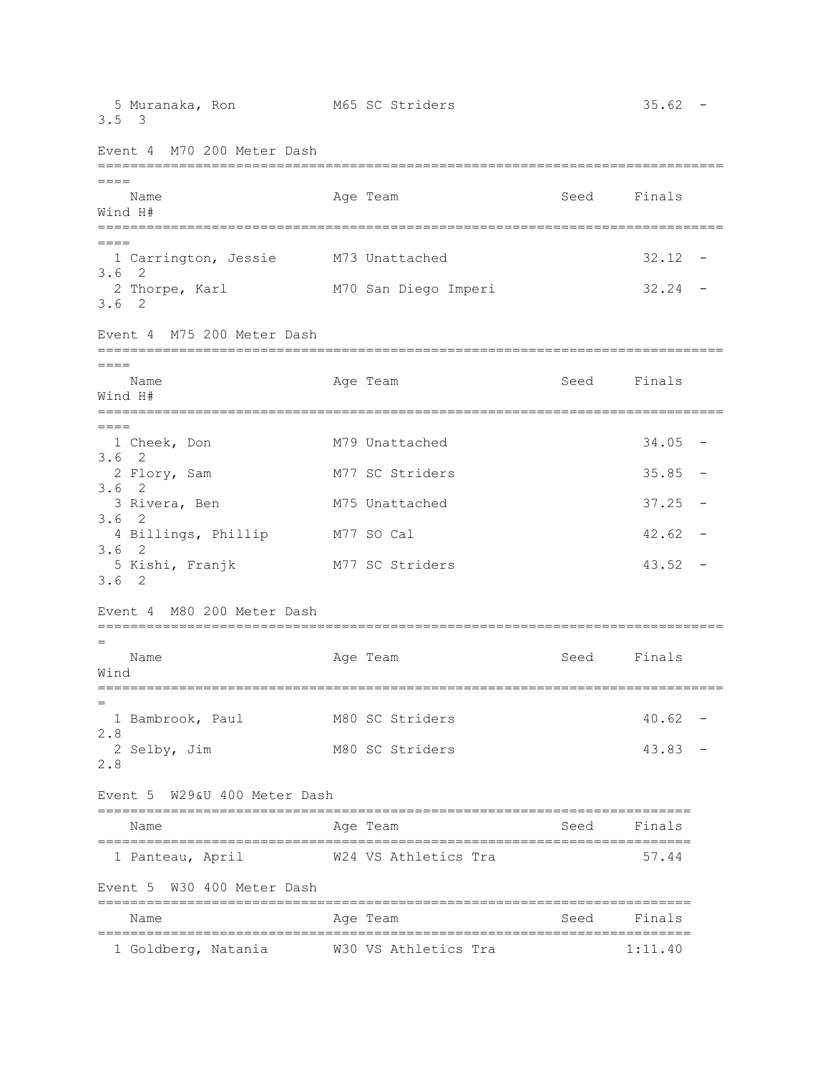5 Muranaka, Ron 35.62 - M65 SC Striders 35.62 -3.5 3 Event 4 M70 200 Meter Dash =============================================================================  $====$ Name **Age Team** Age Team Seed Finals Wind H# ============================================================================= ==== 1 Carrington, Jessie M73 Unattached 32.12 - 3.6 2 2 Thorpe, Karl M70 San Diego Imperi 32.24 - 3.6 2 Event 4 M75 200 Meter Dash ============================================================================= ==== Name **Age Team** Age Team Seed Finals Wind H# =============================================================================  $=$  1 Cheek, Don M79 Unattached 34.05 - 3.6 2 2 Flory, Sam M77 SC Striders 35.85 -3.6 2 3 Rivera, Ben 37.25 M75 Unattached 37.25 -3.6 2 4 Billings, Phillip M77 SO Cal 42.62 -3.6 2 5 Kishi, Franjk M77 SC Striders 43.52 - 3.6 2 Event 4 M80 200 Meter Dash ============================================================================= = Name **Age Team** Age Team Seed Finals Wind ============================================================================= = 1 Bambrook, Paul 1980 SC Striders 10.62 -2.8 2 Selby, Jim M80 SC Striders 43.83 -2.8 Event 5 W29&U 400 Meter Dash ========================================================================= Name **Age Team** Age Team Seed Finals ========================================================================= 1 Panteau, April W24 VS Athletics Tra 57.44 Event 5 W30 400 Meter Dash ========================================================================= Name **Age Team** Age Team Seed Finals ========================================================================= 1 Goldberg, Natania W30 VS Athletics Tra 1:11.40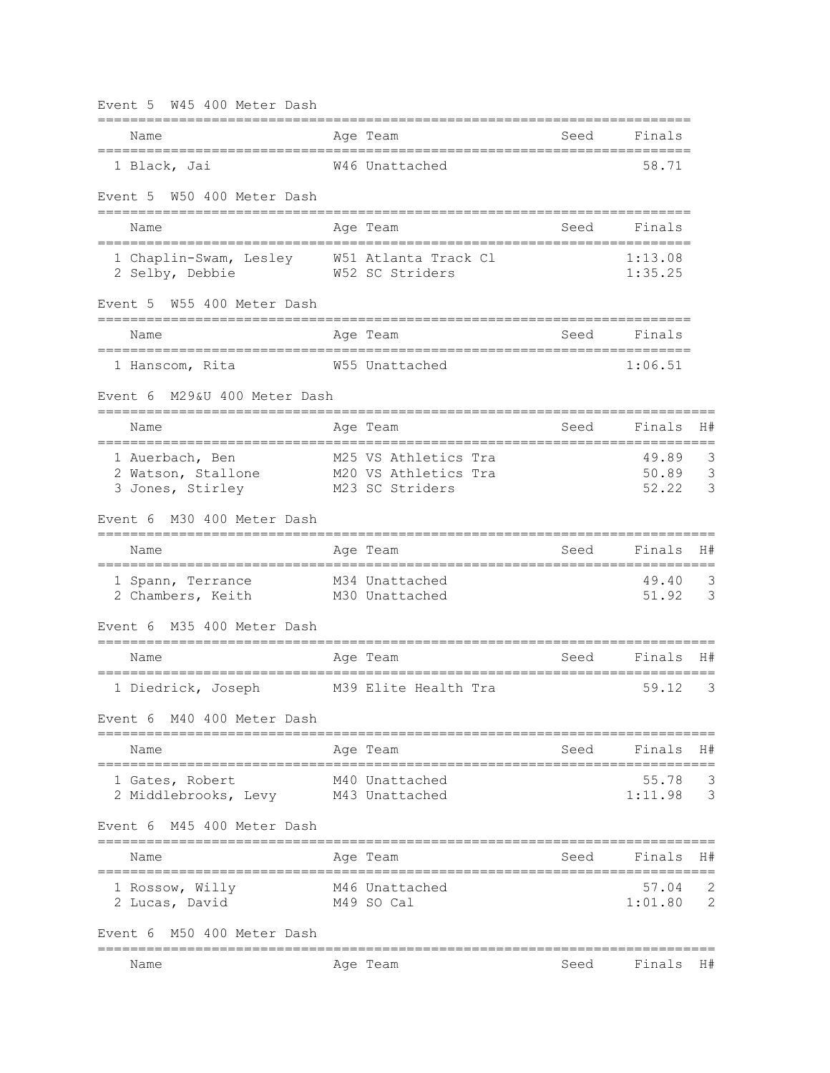| Event 5 W45 400 Meter Dash                                     |             |                                                                 |                  |                                      |                  |
|----------------------------------------------------------------|-------------|-----------------------------------------------------------------|------------------|--------------------------------------|------------------|
| Name                                                           |             | Age Team                                                        | Seed             | Finals                               |                  |
| 1 Black, Jai                                                   |             | W46 Unattached                                                  |                  | 58.71                                |                  |
| W50 400 Meter Dash<br>Event 5                                  |             |                                                                 |                  |                                      |                  |
| Name                                                           |             | Age Team                                                        | Seed             | Finals                               |                  |
| 1 Chaplin-Swam, Lesley W51 Atlanta Track Cl<br>2 Selby, Debbie |             | W52 SC Striders                                                 |                  | 1:13.08<br>1:35.25                   |                  |
| W55 400 Meter Dash<br>Event 5                                  |             |                                                                 |                  |                                      |                  |
| Name                                                           |             | Age Team                                                        | Seed             | Finals                               |                  |
| 1 Hanscom, Rita                                                |             | W55 Unattached                                                  |                  | 1:06.51                              |                  |
| M29&U 400 Meter Dash<br>Event 6                                |             |                                                                 |                  |                                      |                  |
| Name                                                           |             | Age Team                                                        | Seed             | Finals                               | H#               |
| 1 Auerbach, Ben<br>2 Watson, Stallone<br>3 Jones, Stirley      |             | M25 VS Athletics Tra<br>M20 VS Athletics Tra<br>M23 SC Striders |                  | 49.89<br>50.89 3<br>52.22            | 3<br>3           |
| M30 400 Meter Dash<br>Event 6                                  |             |                                                                 |                  |                                      |                  |
| Name<br>=====================================                  |             | Age Team                                                        | Seed             | Finals                               | H#               |
| 1 Spann, Terrance<br>2 Chambers, Keith                         |             | M34 Unattached<br>M30 Unattached                                | ================ | 49.40<br>51.92                       | ======<br>3<br>3 |
| M35 400 Meter Dash<br>Event 6                                  |             |                                                                 |                  |                                      |                  |
| Name                                                           |             | Age Team                                                        | Seed             | Finals                               | H#               |
| 1 Diedrick, Joseph                                             |             | M39 Elite Health Tra                                            |                  | 59.12                                | 3                |
| Event 6 M40 400 Meter Dash                                     |             |                                                                 |                  |                                      |                  |
| Name                                                           |             | Age Team                                                        | Seed             | Finals                               | H#               |
| 1 Gates, Robert<br>2 Middlebrooks, Levy M43 Unattached         |             | M40 Unattached                                                  |                  | $55.78$ 3<br>1:11.98 3               |                  |
| Event 6 M45 400 Meter Dash                                     |             |                                                                 |                  |                                      |                  |
| Name                                                           | =========== | Age Team<br>================                                    | Seed             | Finals<br>========================== | H#               |
| 1 Rossow, Willy<br>2 Lucas, David                              |             | M46 Unattached<br>M49 SO Cal                                    |                  | 57.04<br>1:01.80 2                   | 2                |
| Event 6 M50 400 Meter Dash                                     |             |                                                                 |                  |                                      |                  |
| Name                                                           |             | Age Team                                                        | Seed             | Finals                               | H#               |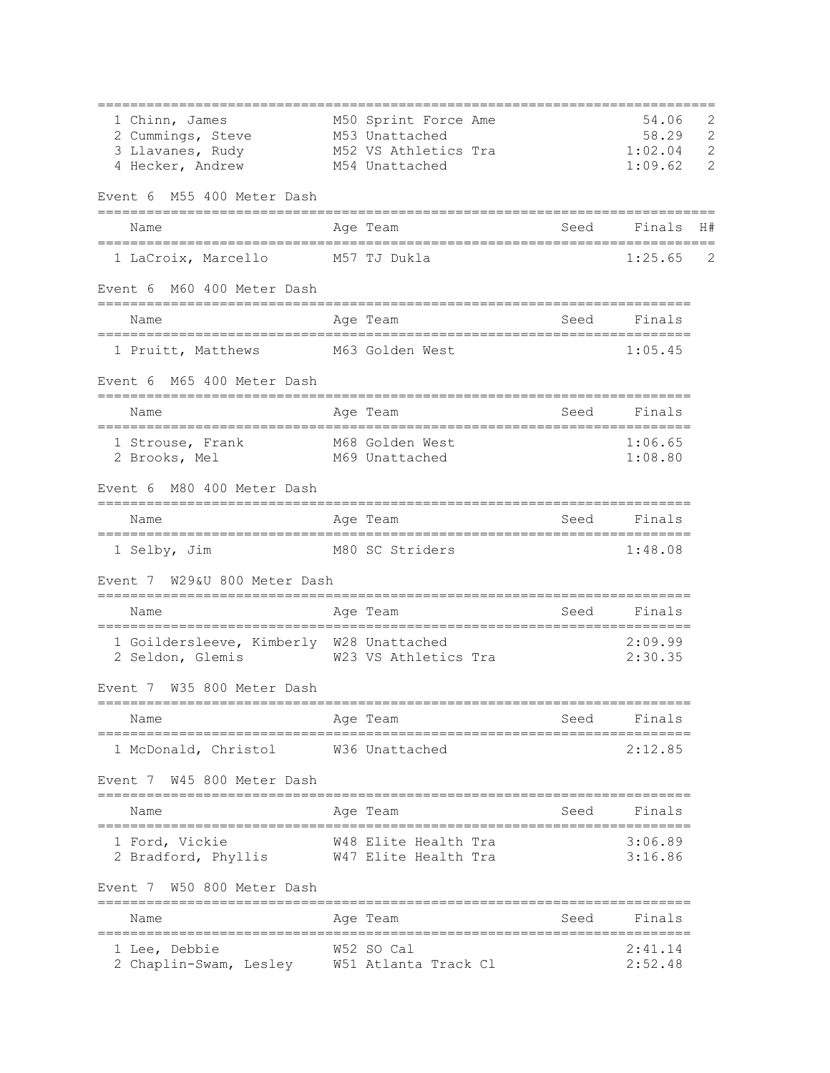| 1 Chinn, James                                               | M50 Sprint Force Ame |      | 54.06              | 2              |
|--------------------------------------------------------------|----------------------|------|--------------------|----------------|
| 2 Cummings, Steve                                            | M53 Unattached       |      | 58.29              | $\overline{c}$ |
| 3 Llavanes, Rudy                                             | M52 VS Athletics Tra |      | 1:02.04            | $\mathbf{2}$   |
| 4 Hecker, Andrew                                             | M54 Unattached       |      | 1:09.62            | 2              |
| M55 400 Meter Dash<br>Event 6                                |                      |      |                    |                |
| Name                                                         | Age Team             | Seed | Finals             | H#             |
| 1 LaCroix, Marcello                                          | M57 TJ Dukla         |      | 1:25.65            | 2              |
| Event 6 M60 400 Meter Dash                                   |                      |      |                    |                |
| Name                                                         | Age Team             | Seed | Finals             |                |
| 1 Pruitt, Matthews M63 Golden West                           |                      |      | 1:05.45            |                |
| Event 6 M65 400 Meter Dash                                   |                      |      |                    |                |
| Name                                                         | Age Team             | Seed | Finals             |                |
| 1 Strouse, Frank                                             | M68 Golden West      |      | 1:06.65            |                |
| 2 Brooks, Mel                                                | M69 Unattached       |      | 1:08.80            |                |
| M80 400 Meter Dash<br>Event 6                                |                      |      |                    |                |
| Name                                                         | Age Team             | Seed | Finals             |                |
| 1 Selby, Jim                                                 | M80 SC Striders      |      | 1:48.08            |                |
| Event 7 W29&U 800 Meter Dash                                 |                      |      |                    |                |
| Name                                                         | Age Team             | Seed | Finals             |                |
| 1 Goildersleeve, Kimberly W28 Unattached<br>2 Seldon, Glemis | W23 VS Athletics Tra |      | 2:09.99<br>2:30.35 |                |
| Event 7 W35 800 Meter Dash                                   |                      |      |                    |                |
| Name                                                         | Age Team             | Seed | Finals             |                |
| 1 McDonald, Christol                                         | W36 Unattached       |      | 2:12.85            |                |
| Event 7 W45 800 Meter Dash                                   |                      |      |                    |                |
| Name                                                         | Age Team             | Seed | Finals             |                |
| 1 Ford, Vickie                                               | W48 Elite Health Tra |      | 3:06.89            |                |
| 2 Bradford, Phyllis                                          | W47 Elite Health Tra |      | 3:16.86            |                |
| W50 800 Meter Dash<br>Event 7<br>========================    |                      |      |                    |                |
| Name                                                         | Age Team             | Seed | Finals             |                |
| 1 Lee, Debbie                                                | W52 SO Cal           |      | 2:41.14            |                |
| 2 Chaplin-Swam, Lesley                                       | W51 Atlanta Track Cl |      | 2:52.48            |                |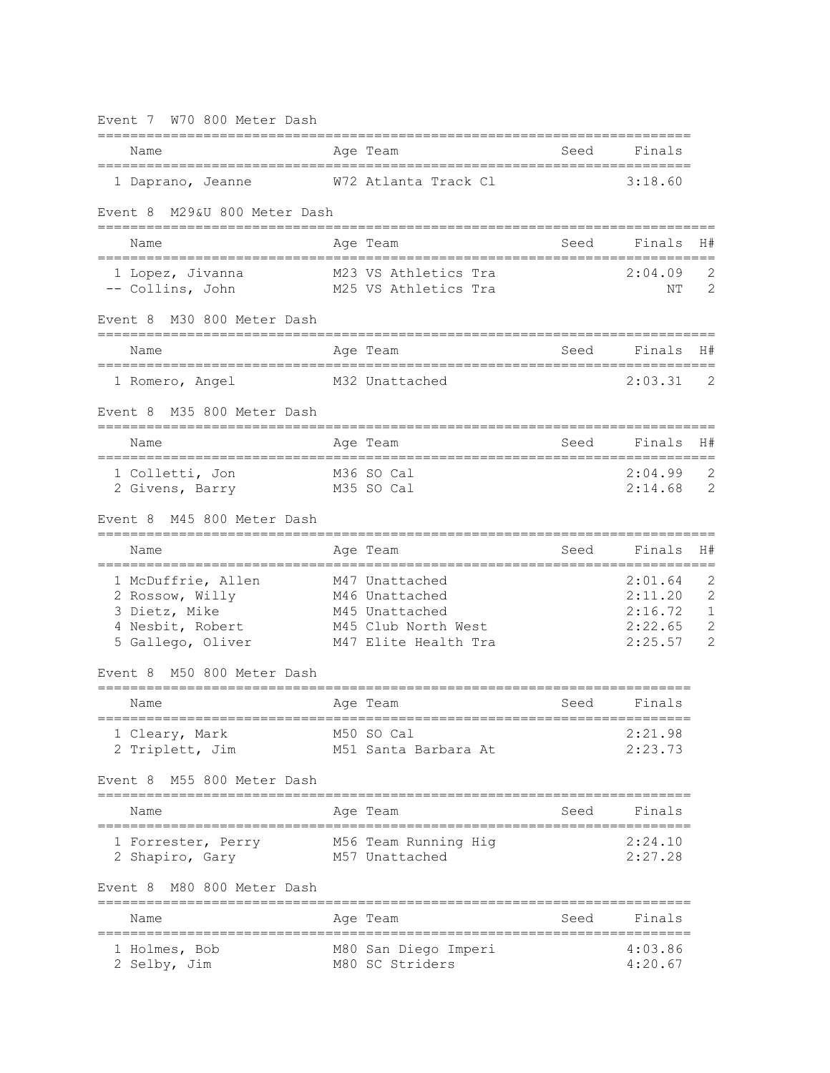| W70 800 Meter Dash<br>Event 7                                                                   |                                                                                                   |                       |                                                     |                                               |
|-------------------------------------------------------------------------------------------------|---------------------------------------------------------------------------------------------------|-----------------------|-----------------------------------------------------|-----------------------------------------------|
| ============================<br>Name                                                            | Age Team                                                                                          | Seed                  | Finals                                              |                                               |
| 1 Daprano, Jeanne                                                                               | W72 Atlanta Track Cl                                                                              |                       | 3:18.60                                             |                                               |
| M29&U 800 Meter Dash<br>Event 8                                                                 |                                                                                                   |                       |                                                     |                                               |
| Name                                                                                            | Age Team                                                                                          | Seed                  | Finals                                              | H#                                            |
| 1 Lopez, Jivanna<br>-- Collins, John                                                            | M23 VS Athletics Tra<br>M25 VS Athletics Tra                                                      |                       | 2:04.09<br>NΤ                                       | 2<br>2                                        |
| M30 800 Meter Dash<br>Event 8                                                                   |                                                                                                   |                       |                                                     |                                               |
| Name                                                                                            | Age Team                                                                                          | Seed                  | Finals                                              | H#                                            |
| 1 Romero, Angel                                                                                 | M32 Unattached                                                                                    |                       | 2:03.31                                             | 2                                             |
| M35 800 Meter Dash<br>Event 8                                                                   |                                                                                                   |                       |                                                     |                                               |
| Name                                                                                            | Age Team                                                                                          | Seed                  | Finals                                              | H#                                            |
| 1 Colletti, Jon<br>2 Givens, Barry                                                              | M36 SO Cal<br>M35 SO Cal                                                                          |                       | 2:04.99<br>2:14.68                                  | 2<br>2                                        |
| M45 800 Meter Dash<br>Event 8<br>=======                                                        |                                                                                                   |                       |                                                     |                                               |
| Name                                                                                            | Aqe Team                                                                                          | Seed                  | Finals                                              | H#                                            |
| 1 McDuffrie, Allen<br>2 Rossow, Willy<br>3 Dietz, Mike<br>4 Nesbit, Robert<br>5 Gallego, Oliver | M47 Unattached<br>M46 Unattached<br>M45 Unattached<br>M45 Club North West<br>M47 Elite Health Tra |                       | 2:01.64<br>2:11.20<br>2:16.72<br>2:22.65<br>2:25.57 | 2<br>2<br>1<br>$\mathbf{2}$<br>$\overline{2}$ |
| M50 800 Meter Dash<br>Event 8                                                                   |                                                                                                   |                       |                                                     |                                               |
| Name                                                                                            | Age Team                                                                                          | Seed                  | Finals                                              |                                               |
| =================<br>1 Cleary, Mark<br>2 Triplett, Jim                                          | M50 SO Cal<br>M51 Santa Barbara At                                                                | ===================== | 2:21.98<br>2:23.73                                  |                                               |
| M55 800 Meter Dash<br>Event 8                                                                   |                                                                                                   |                       |                                                     |                                               |
| Name                                                                                            | Age Team                                                                                          | Seed                  | Finals                                              |                                               |
| 1 Forrester, Perry<br>2 Shapiro, Gary                                                           | M56 Team Running Hig<br>M57 Unattached                                                            |                       | 2:24.10<br>2:27.28                                  |                                               |
| M80 800 Meter Dash<br>Event 8                                                                   |                                                                                                   |                       |                                                     |                                               |
| Name                                                                                            | Age Team                                                                                          | Seed                  | Finals                                              |                                               |
| ================================<br>1 Holmes, Bob<br>2 Selby, Jim                               | ---------------------------------<br>M80 San Diego Imperi<br>M80 SC Striders                      |                       | 4:03.86<br>4:20.67                                  |                                               |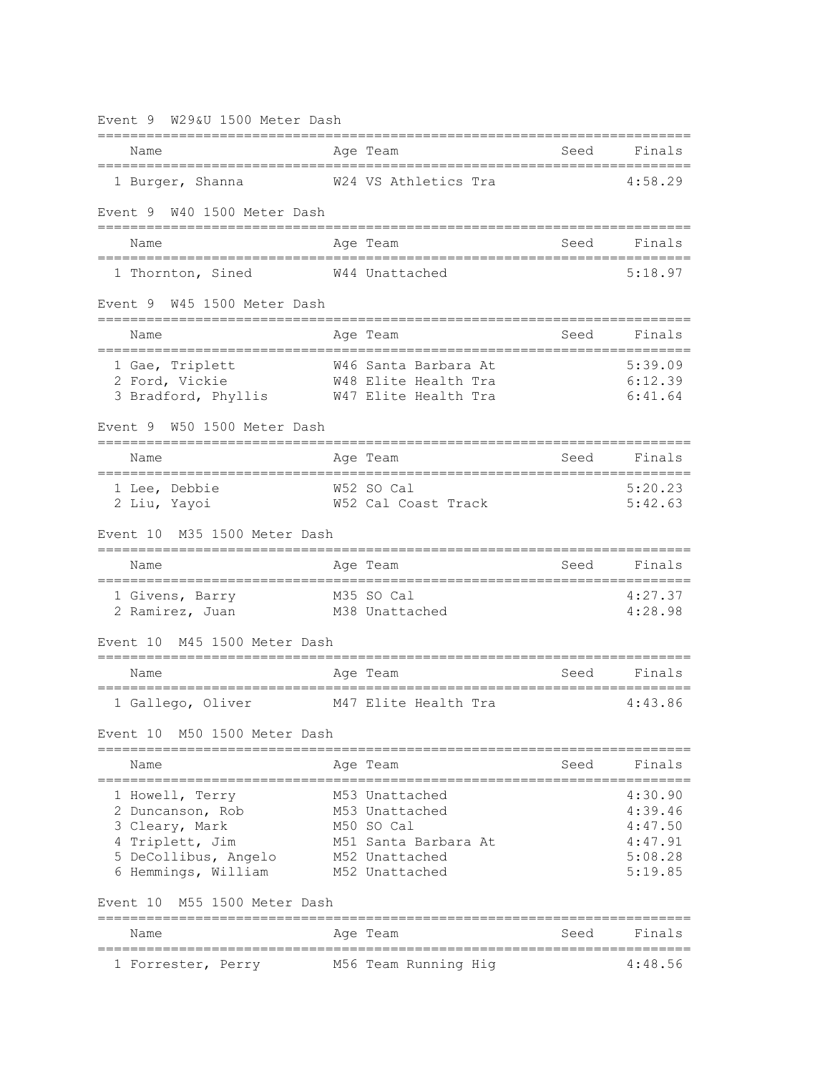| W29&U 1500 Meter Dash<br>Event 9                                                                                        |                                                                                                            |      |                                                                |
|-------------------------------------------------------------------------------------------------------------------------|------------------------------------------------------------------------------------------------------------|------|----------------------------------------------------------------|
| -------------------------------<br>Name                                                                                 | ________________________<br>Age Team                                                                       | Seed | Finals                                                         |
| 1 Burger, Shanna                                                                                                        | W24 VS Athletics Tra                                                                                       |      | 4:58.29                                                        |
| Event 9 W40 1500 Meter Dash                                                                                             |                                                                                                            |      |                                                                |
| Name                                                                                                                    | Age Team                                                                                                   | Seed | Finals                                                         |
| 1 Thornton, Sined                                                                                                       | W44 Unattached                                                                                             |      | 5:18.97                                                        |
| Event 9 W45 1500 Meter Dash                                                                                             |                                                                                                            |      |                                                                |
| Name                                                                                                                    | Age Team                                                                                                   | Seed | Finals                                                         |
| 1 Gae, Triplett<br>2 Ford, Vickie<br>3 Bradford, Phyllis W47 Elite Health Tra                                           | W46 Santa Barbara At<br>W48 Elite Health Tra                                                               |      | 5:39.09<br>6:12.39<br>6:41.64                                  |
| W50 1500 Meter Dash<br>Event 9                                                                                          |                                                                                                            |      |                                                                |
| Name                                                                                                                    | Age Team                                                                                                   | Seed | Finals                                                         |
| 1 Lee, Debbie<br>2 Liu, Yayoi                                                                                           | W52 SO Cal<br>W52 Cal Coast Track                                                                          |      | 5:20.23<br>5:42.63                                             |
| M35 1500 Meter Dash<br>Event 10                                                                                         |                                                                                                            |      |                                                                |
| Name                                                                                                                    | Age Team                                                                                                   | Seed | Finals                                                         |
| 1 Givens, Barry<br>2 Ramirez, Juan                                                                                      | M35 SO Cal<br>M38 Unattached                                                                               |      | 4:27.37<br>4:28.98                                             |
| M45 1500 Meter Dash<br>Event 10                                                                                         |                                                                                                            |      |                                                                |
| Name                                                                                                                    | Age Team                                                                                                   | Seed | Finals                                                         |
| 1 Gallego, Oliver                                                                                                       | M47 Elite Health Tra                                                                                       |      | 4:43.86                                                        |
| M50 1500 Meter Dash<br>Event 10                                                                                         |                                                                                                            |      |                                                                |
| Name                                                                                                                    | Aqe Team                                                                                                   | Seed | Finals                                                         |
| 1 Howell, Terry<br>2 Duncanson, Rob<br>3 Cleary, Mark<br>4 Triplett, Jim<br>5 DeCollibus, Angelo<br>6 Hemmings, William | M53 Unattached<br>M53 Unattached<br>M50 SO Cal<br>M51 Santa Barbara At<br>M52 Unattached<br>M52 Unattached |      | 4:30.90<br>4:39.46<br>4:47.50<br>4:47.91<br>5:08.28<br>5:19.85 |
| M55 1500 Meter Dash<br>Event 10                                                                                         |                                                                                                            |      |                                                                |
| Name                                                                                                                    | Age Team                                                                                                   | Seed | Finals                                                         |
| 1 Forrester, Perry                                                                                                      | M56 Team Running Hig                                                                                       |      | 4:48.56                                                        |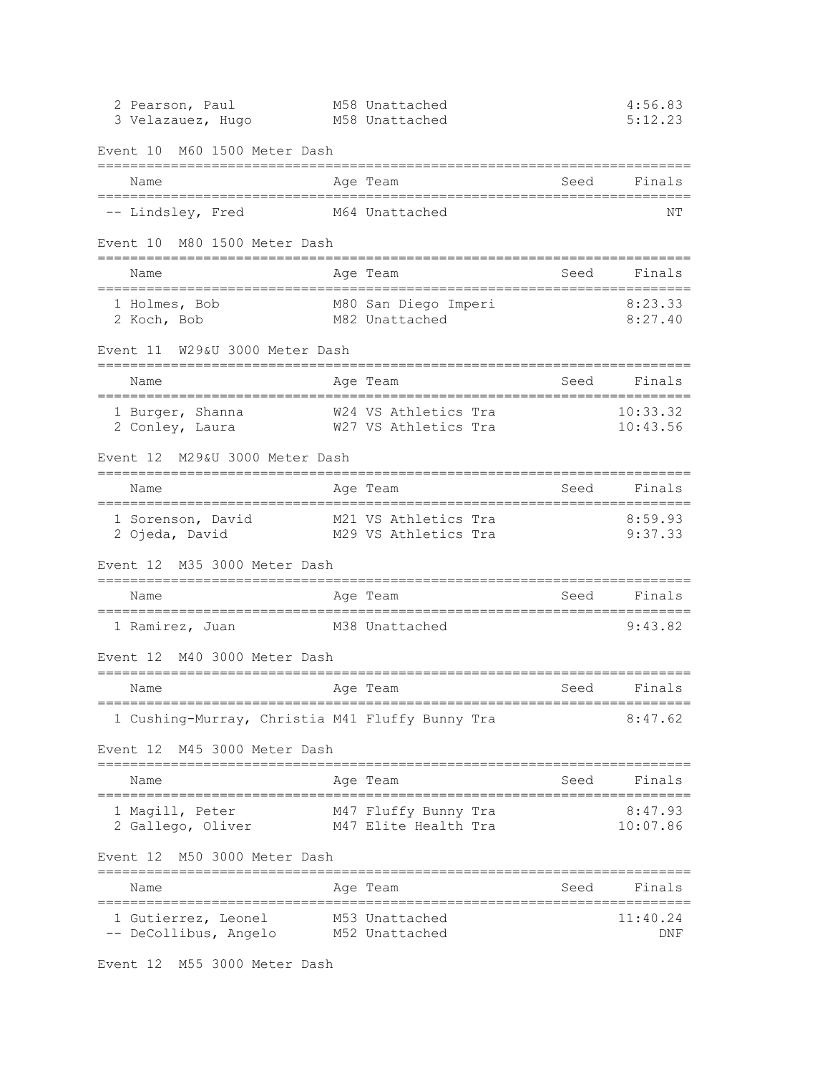| 2 Pearson, Paul<br>3 Velazauez, Hugo                                            |             | M58 Unattached<br>M58 Unattached             |                              | 4:56.83<br>5:12.23        |
|---------------------------------------------------------------------------------|-------------|----------------------------------------------|------------------------------|---------------------------|
| M60 1500 Meter Dash<br>Event 10                                                 |             |                                              |                              |                           |
| Name                                                                            |             | Age Team                                     | Seed                         | Finals                    |
| -- Lindsley, Fred                                                               |             | M64 Unattached                               |                              | ΝT                        |
| M80 1500 Meter Dash<br>Event 10                                                 |             |                                              |                              |                           |
| Name                                                                            |             | Age Team                                     | Seed                         | Finals                    |
| 1 Holmes, Bob<br>2 Koch, Bob                                                    |             | M80 San Diego Imperi<br>M82 Unattached       |                              | 8:23.33<br>8:27.40        |
| W29&U 3000 Meter Dash<br>Event 11                                               |             |                                              |                              |                           |
| Name                                                                            |             | Age Team                                     | Seed                         | Finals                    |
| 1 Burger, Shanna<br>2 Conley, Laura                                             |             | W24 VS Athletics Tra<br>W27 VS Athletics Tra |                              | 10:33.32<br>10:43.56      |
| Event 12 M29&U 3000 Meter Dash                                                  |             |                                              |                              |                           |
| Name<br>.=====================                                                  | :========== | Age Team                                     | Seed                         | Finals<br>=============== |
| 1 Sorenson, David<br>2 Ojeda, David                                             |             | M21 VS Athletics Tra<br>M29 VS Athletics Tra |                              | 8:59.93<br>9:37.33        |
| M35 3000 Meter Dash<br>Event 12                                                 |             |                                              |                              |                           |
| Name                                                                            |             | Age Team                                     | Seed<br>==================== | Finals                    |
| 1 Ramirez, Juan                                                                 |             | M38 Unattached                               |                              | 9:43.82                   |
| M40 3000 Meter Dash<br>Event 12                                                 |             |                                              |                              |                           |
| Name                                                                            |             | Age Team                                     | Seed                         | Finals                    |
| 1 Cushing-Murray, Christia M41 Fluffy Bunny Tra<br>Event 12 M45 3000 Meter Dash |             |                                              |                              | 8:47.62                   |
| ====================================<br>Name                                    |             | Age Team                                     | Seed                         | Finals                    |
| 1 Magill, Peter<br>2 Gallego, Oliver                                            |             | M47 Fluffy Bunny Tra<br>M47 Elite Health Tra |                              | 8:47.93<br>10:07.86       |
| Event 12 M50 3000 Meter Dash<br>------------------------                        |             |                                              |                              |                           |
| Name                                                                            | =========== | Age Team                                     | Seed                         | Finals                    |
| 1 Gutierrez, Leonel<br>-- DeCollibus, Angelo                                    |             | M53 Unattached<br>M52 Unattached             |                              | 11:40.24<br>DNF           |

Event 12 M55 3000 Meter Dash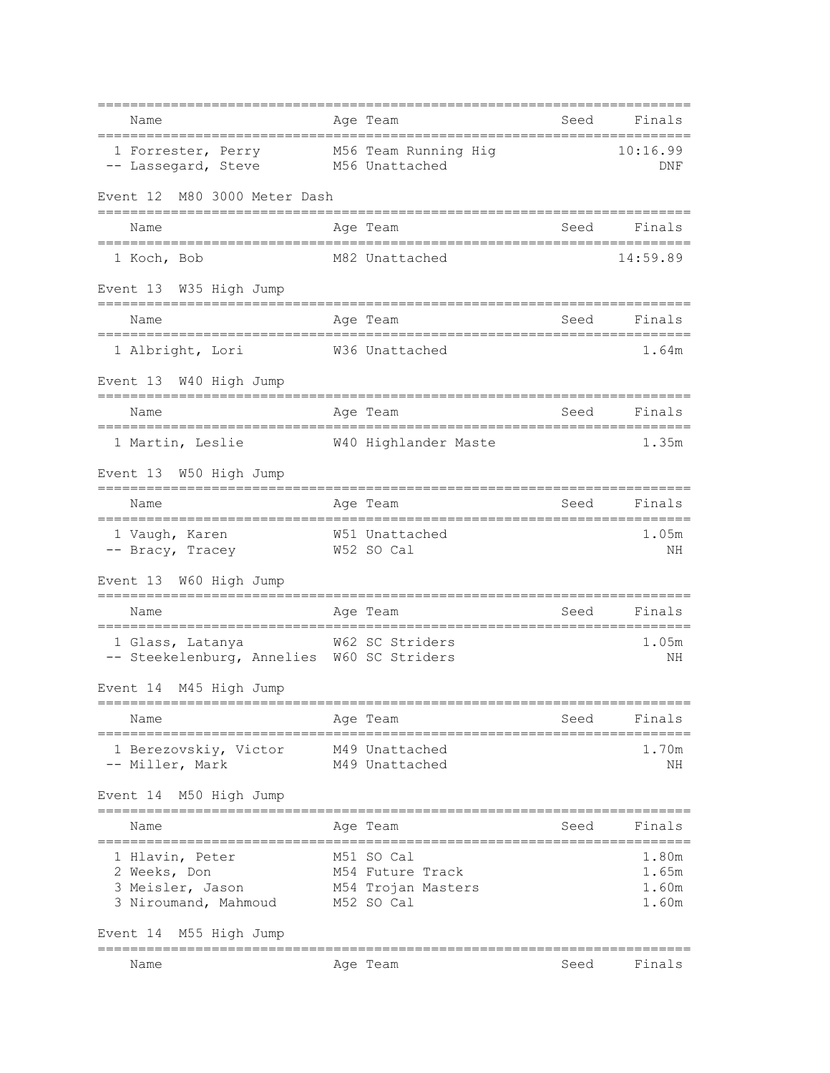| Name<br>==============================                                        | Age Team<br>-------------------------------                        | Seed                                                                                                           | Finals                           |
|-------------------------------------------------------------------------------|--------------------------------------------------------------------|----------------------------------------------------------------------------------------------------------------|----------------------------------|
| 1 Forrester, Perry M56 Team Running Hig<br>-- Lassegard, Steve M56 Unattached |                                                                    |                                                                                                                | 10:16.99<br>DNF                  |
| Event 12 M80 3000 Meter Dash                                                  |                                                                    |                                                                                                                |                                  |
| Name                                                                          | Age Team                                                           | seed Seed                                                                                                      | Finals                           |
| 1 Koch, Bob                                                                   | M82 Unattached                                                     |                                                                                                                | 14:59.89                         |
| Event 13 W35 High Jump                                                        |                                                                    |                                                                                                                |                                  |
| Name                                                                          | Age Team                                                           | Seed                                                                                                           | Finals                           |
| 1 Albright, Lori                                                              | W36 Unattached                                                     |                                                                                                                | 1.64m                            |
| Event 13 W40 High Jump                                                        |                                                                    |                                                                                                                |                                  |
| :==============================<br>$=====$<br>Name                            | Age Team                                                           | Seed                                                                                                           | Finals                           |
| ======================<br>1 Martin, Leslie                                    | ==================<br>W40 Highlander Maste                         |                                                                                                                | 1.35m                            |
| Event 13 W50 High Jump                                                        |                                                                    |                                                                                                                |                                  |
| Name                                                                          | Age Team                                                           | seed Seed and Seed and Seed and Seed and Seed and Seed and Second Second Second Second Second Second Second Se | Finals                           |
| 1 Vaugh, Karen<br>-- Bracy, Tracey                                            | W51 Unattached<br>W52 SO Cal                                       |                                                                                                                | 1.05m<br>ΝH                      |
| Event 13 W60 High Jump                                                        |                                                                    |                                                                                                                |                                  |
| Name                                                                          | Age Team                                                           | Seed                                                                                                           | Finals                           |
| 1 Glass, Latanya<br>-- Steekelenburg, Annelies W60 SC Striders                | =================================<br>W62 SC Striders               |                                                                                                                | 1.05m<br>ΝH                      |
| Event 14 M45 High Jump                                                        |                                                                    |                                                                                                                |                                  |
| Name<br>._____________________________                                        | Age Team                                                           | Seed                                                                                                           | Finals                           |
| 1 Berezovskiy, Victor<br>-- Miller, Mark                                      | M49 Unattached<br>M49 Unattached                                   |                                                                                                                | 1.70m<br>NH                      |
| Event 14 M50 High Jump<br>=========                                           |                                                                    |                                                                                                                |                                  |
| Name                                                                          | Age Team                                                           | Seed                                                                                                           | Finals                           |
| 1 Hlavin, Peter<br>2 Weeks, Don<br>3 Meisler, Jason<br>3 Niroumand, Mahmoud   | M51 SO Cal<br>M54 Future Track<br>M54 Trojan Masters<br>M52 SO Cal |                                                                                                                | 1.80m<br>1.65m<br>1.60m<br>1.60m |
| Event 14 M55 High Jump                                                        |                                                                    |                                                                                                                |                                  |
| Name                                                                          | Age Team                                                           | Seed                                                                                                           | Finals                           |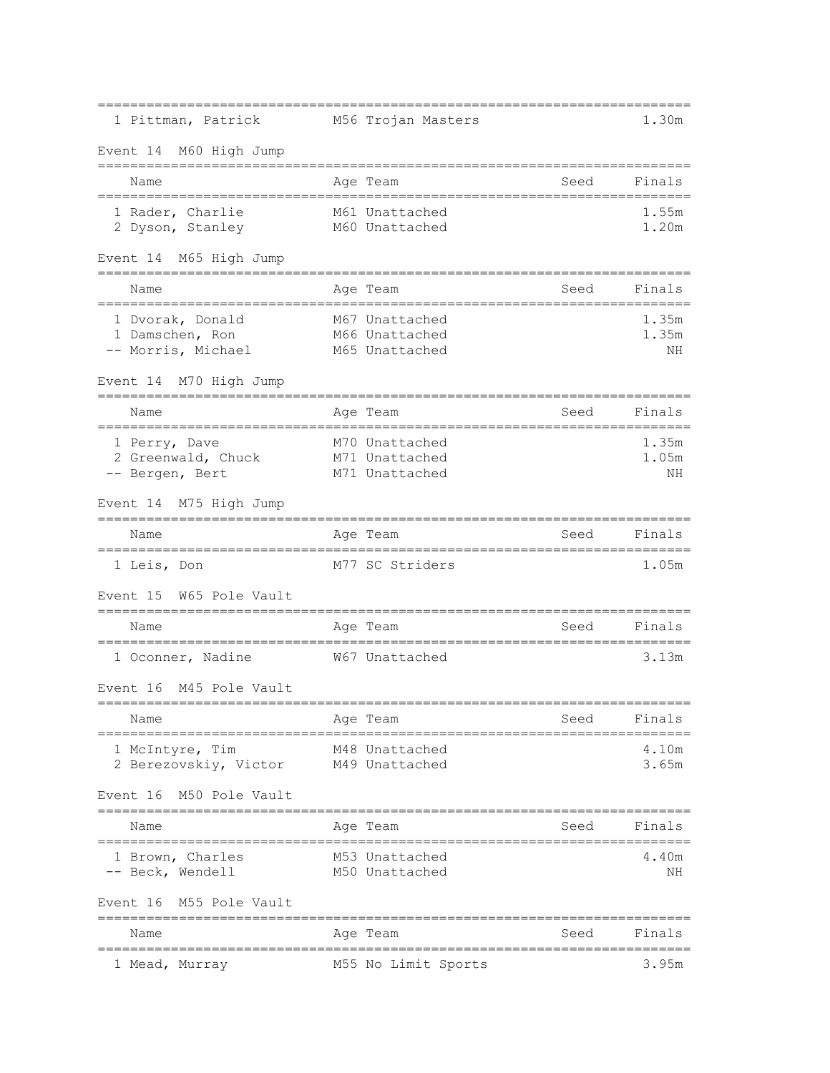| 1 Pittman, Patrick                                        | M56 Trojan Masters                                 |      | 1.30m                |
|-----------------------------------------------------------|----------------------------------------------------|------|----------------------|
| Event 14 M60 High Jump                                    |                                                    |      |                      |
| Name                                                      | Age Team                                           | Seed | Finals               |
| 1 Rader, Charlie<br>2 Dyson, Stanley                      | M61 Unattached<br>M60 Unattached                   |      | 1.55m<br>1.20m       |
| Event 14 M65 High Jump                                    |                                                    |      |                      |
| Name<br>========================                          | Aqe Team<br>==============                         | Seed | Finals               |
| 1 Dvorak, Donald<br>1 Damschen, Ron<br>-- Morris, Michael | M67 Unattached<br>M66 Unattached<br>M65 Unattached |      | 1.35m<br>1.35m<br>NΗ |
| Event 14 M70 High Jump                                    |                                                    |      |                      |
| Name                                                      | Age Team                                           | Seed | Finals               |
| 1 Perry, Dave<br>2 Greenwald, Chuck<br>-- Bergen, Bert    | M70 Unattached<br>M71 Unattached<br>M71 Unattached |      | 1.35m<br>1.05m<br>ΝH |
| Event 14 M75 High Jump                                    |                                                    |      |                      |
| Name                                                      | Age Team                                           | Seed | Finals               |
| 1 Leis, Don                                               | M77 SC Striders                                    |      | 1.05m                |
| Event 15<br>W65 Pole Vault                                |                                                    |      |                      |
| Name                                                      | Age Team                                           | Seed | Finals               |
| 1 Oconner, Nadine                                         | W67 Unattached                                     |      | 3.13m                |
| Event 16<br>M45 Pole Vault                                |                                                    |      |                      |
| Name                                                      | Age Team                                           | Seed | Finals               |
| 1 McIntyre, Tim<br>2 Berezovskiy, Victor                  | M48 Unattached<br>M49 Unattached                   |      | 4.10m<br>3.65m       |
| Event 16 M50 Pole Vault                                   |                                                    |      |                      |
| Name                                                      | Age Team                                           | Seed | Finals               |
| 1 Brown, Charles<br>-- Beck, Wendell                      | M53 Unattached<br>M50 Unattached                   |      | 4.40m<br>ΝH          |
| Event 16 M55 Pole Vault<br>-------------------            |                                                    |      |                      |
| Name                                                      | Age Team                                           | Seed | Finals               |
| 1 Mead, Murray                                            | M55 No Limit Sports                                |      | 3.95m                |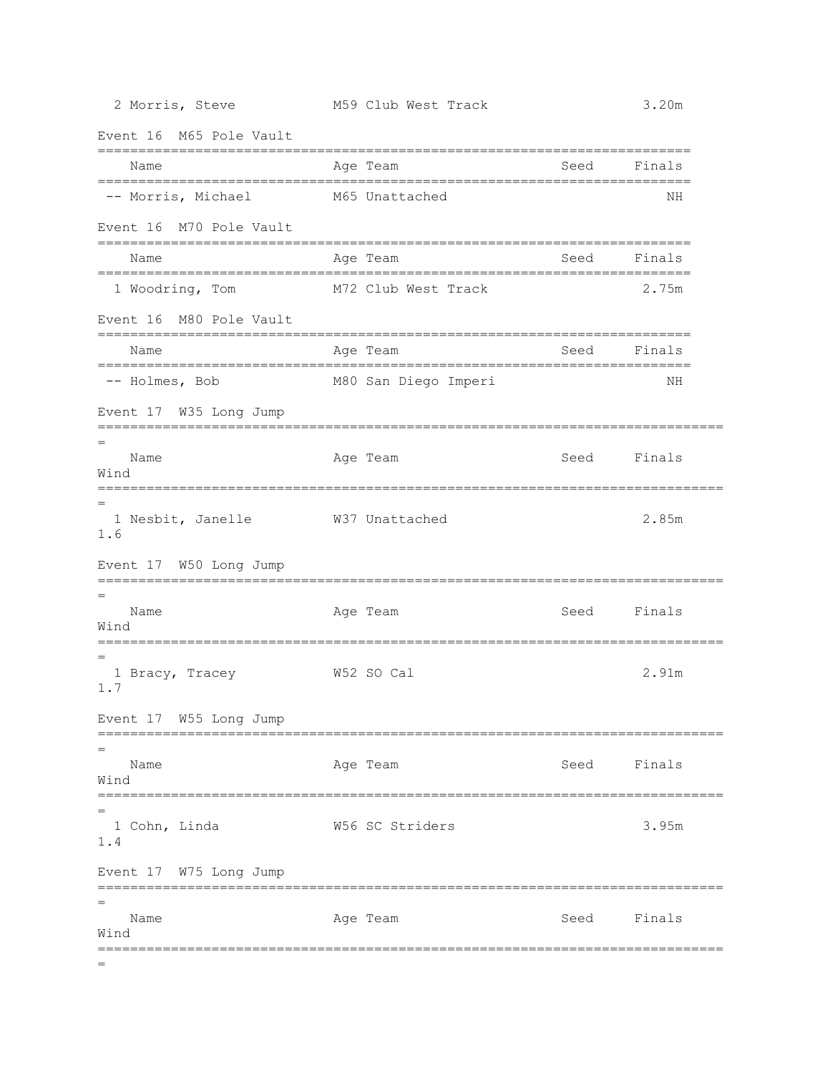Event 16 M65 Pole Vault

| LIUJ LUIT                                    |                      |                                                      |  |
|----------------------------------------------|----------------------|------------------------------------------------------|--|
| Name                                         | Age Team             | Finals<br>Seed                                       |  |
| -- Morris, Michael                           | M65 Unattached       | NН                                                   |  |
| Event 16 M70 Pole Vault                      |                      |                                                      |  |
| Name<br>____________________________________ | Age Team             | Finals<br>Seed<br>__________________________________ |  |
| 1 Woodring, Tom                              | M72 Club West Track  | 2.75m                                                |  |
| Event 16 M80 Pole Vault                      |                      |                                                      |  |
| Name                                         | Age Team             | Finals<br>Seed                                       |  |
| ----------------<br>-- Holmes, Bob           | M80 San Diego Imperi | ΝH                                                   |  |
| Event 17 W35 Long Jump                       |                      |                                                      |  |
| Name<br>Wind                                 | Age Team             | Seed Finals                                          |  |
| 1 Nesbit, Janelle<br>1.6                     | W37 Unattached       | 2.85m                                                |  |
| Event 17 W50 Long Jump                       |                      |                                                      |  |
| Name<br>Wind                                 | Age Team             | Finals<br>Seed                                       |  |
| 1 Bracy, Tracey 67 652 SO Cal<br>1.7         |                      | 2.91m                                                |  |
| Event 17 W55 Long Jump                       |                      |                                                      |  |
| $=$<br>Name<br>Wind                          | Age Team             | Seed<br>Finals                                       |  |
| 1 Cohn, Linda<br>1.4                         | W56 SC Striders      | =======<br>3.95m                                     |  |
| Event 17 W75 Long Jump                       |                      |                                                      |  |
| Name<br>Wind                                 | Age Team             | Finals<br>Seed                                       |  |
|                                              |                      |                                                      |  |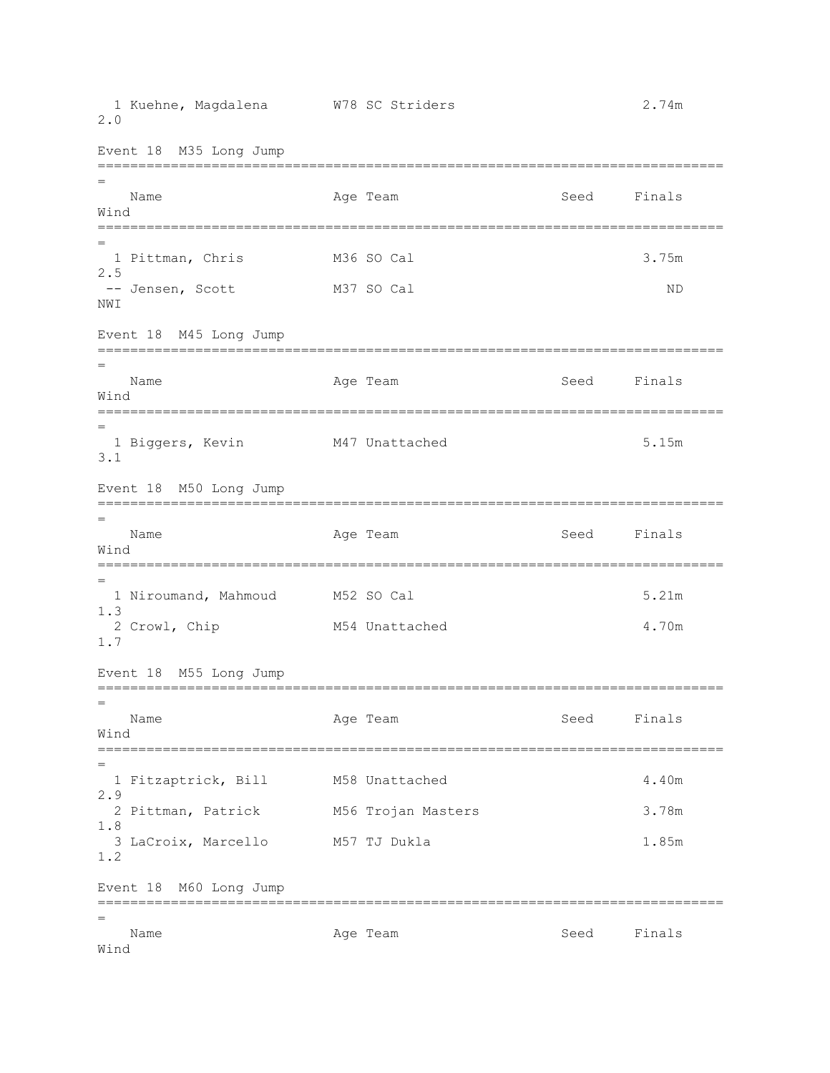1 Kuehne, Magdalena W78 SC Striders 2.74m 2.0 Event 18 M35 Long Jump ============================================================================= = Name **Age Team** Age Team Seed Finals Wind ============================================================================= = 1 Pittman, Chris M36 SO Cal 3.75m 2.5 -- Jensen, Scott M37 SO Cal ND NWI Event 18 M45 Long Jump ============================================================================= = Name **Age Team** Age Team Seed Finals Wind ============================================================================= = 1 Biggers, Kevin M47 Unattached 5.15m 3.1 Event 18 M50 Long Jump ============================================================================= = Name Age Team Age Team Seed Finals Wind ============================================================================= = 1 Niroumand, Mahmoud M52 SO Cal 5.21m 1.3 2 Crowl, Chip M54 Unattached 4.70m 1.7 Event 18 M55 Long Jump ============================================================================= = Name **Age Team** Age Team Seed Finals Wind ============================================================================= = 1 Fitzaptrick, Bill M58 Unattached 4.40m 2.9 2 Pittman, Patrick M56 Trojan Masters 3.78m 1.8 3 LaCroix, Marcello M57 TJ Dukla 1.85m 1.2 Event 18 M60 Long Jump ============================================================================= = Name **Age Team** Age Team Seed Finals Wind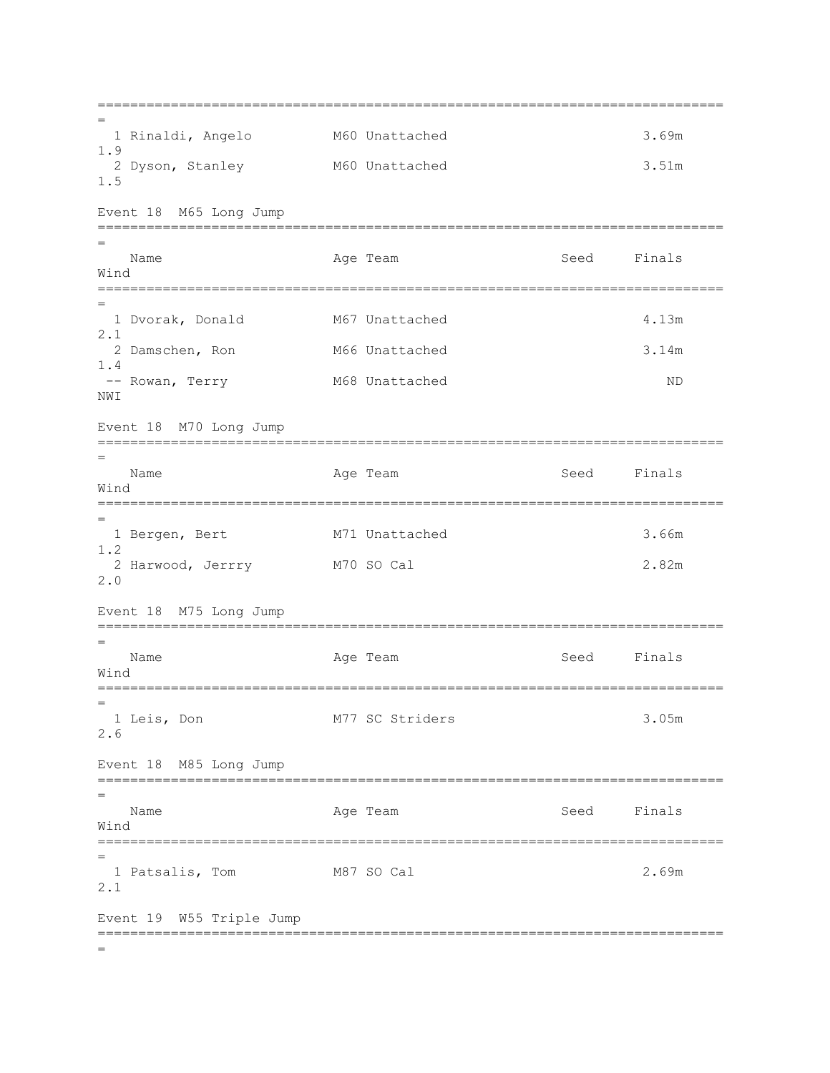============================================================================= = 1 Rinaldi, Angelo M60 Unattached 3.69m 1.9 2 Dyson, Stanley M60 Unattached 3.51m 1.5 Event 18 M65 Long Jump ============================================================================= = Name Age Team Seed Finals Wind ============================================================================= = 1 Dvorak, Donald M67 Unattached 4.13m 2.1 2 Damschen, Ron M66 Unattached 3.14m 1.4 -- Rowan, Terry M68 Unattached ND NWI Event 18 M70 Long Jump ============================================================================= = Name **Age Team** Age Team Seed Finals Wind ============================================================================= = 1 Bergen, Bert M71 Unattached 3.66m 1.2 2 Harwood, Jerrry M70 SO Cal 2.82m 2.0 Event 18 M75 Long Jump ============================================================================= = Name Age Team Seed Finals Wind ============================================================================= = 1 Leis, Don M77 SC Striders 3.05m 2.6 Event 18 M85 Long Jump ============================================================================= = Name **Age Team** Age Team Seed Finals Wind ============================================================================= = 1 Patsalis, Tom M87 SO Cal 2.69m 2.1 Event 19 W55 Triple Jump ============================================================================= =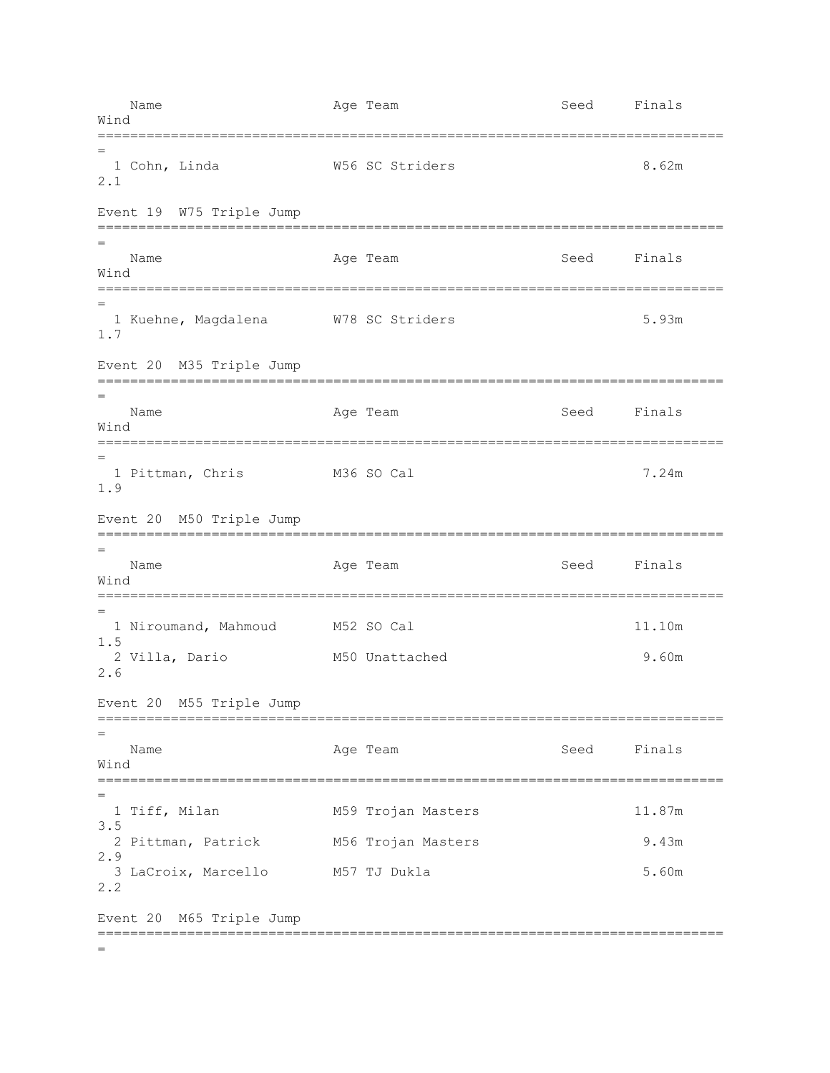Name **Age Team** Age Team Seed Finals Wind ============================================================================= = 1 Cohn, Linda W56 SC Striders 8.62m 2.1 Event 19 W75 Triple Jump ============================================================================= = Name **Age Team** Age Team Seed Finals Wind ============================================================================= = 1 Kuehne, Magdalena W78 SC Striders 5.93m 1.7 Event 20 M35 Triple Jump ============================================================================= = Name **Age Team** Age Team Seed Finals Wind ============================================================================= = 1 Pittman, Chris M36 SO Cal 7.24m 1.9 Event 20 M50 Triple Jump ============================================================================= = Name **Age Team** Age Team Seed Finals Wind ============================================================================= = 1 Niroumand, Mahmoud M52 SO Cal 11.10m 1.5 2 Villa, Dario M50 Unattached 9.60m 2.6 Event 20 M55 Triple Jump ============================================================================= = Name Age Team Seed Finals Wind ============================================================================= = 1 Tiff, Milan M59 Trojan Masters 11.87m 3.5 2 Pittman, Patrick M56 Trojan Masters 9.43m 2.9 3 LaCroix, Marcello M57 TJ Dukla 5.60m 2.2 Event 20 M65 Triple Jump ============================================================================= =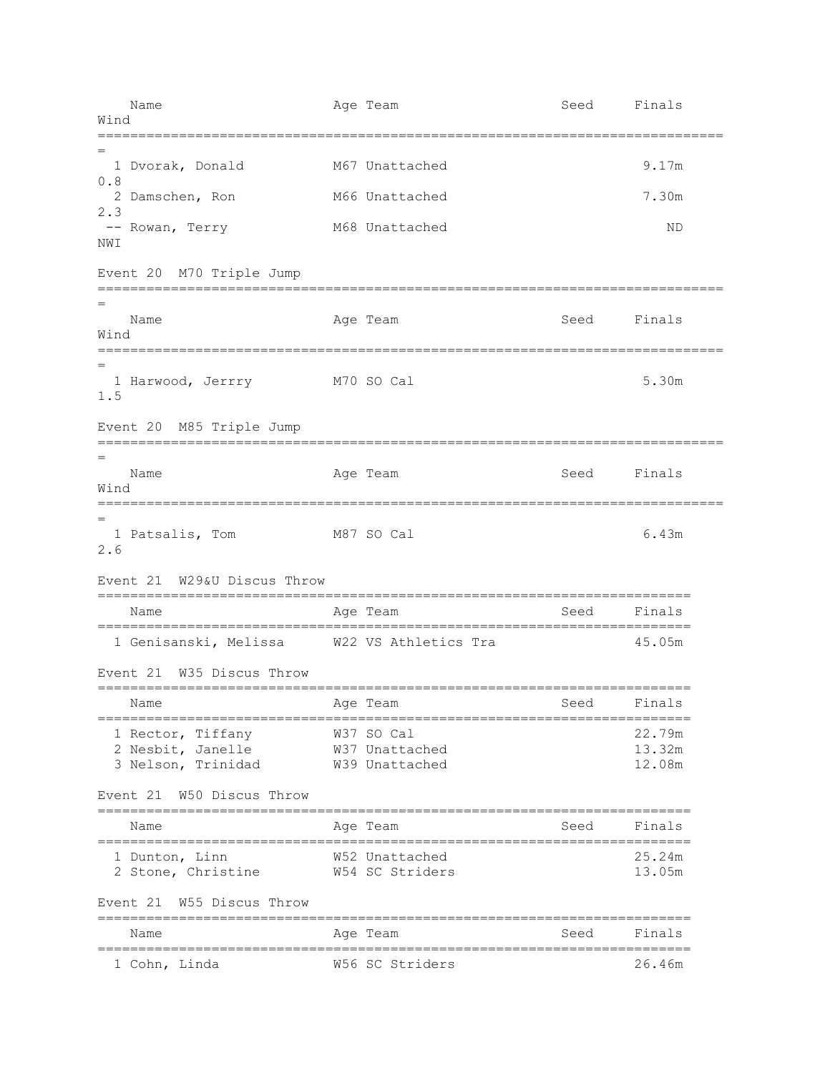Name **Age Team** Age Team Seed Finals Wind ============================================================================= = 1 Dvorak, Donald M67 Unattached 9.17m 0.8 2 Damschen, Ron M66 Unattached 7.30m 2.3 -- Rowan, Terry M68 Unattached ND NWI Event 20 M70 Triple Jump ============================================================================= = Name Age Team Seed Finals Wind ============================================================================= = 1 Harwood, Jerrry M70 SO Cal 5.30m 1.5 Event 20 M85 Triple Jump ============================================================================= = Name Age Team Seed Finals Wind ============================================================================= = 1 Patsalis, Tom M87 SO Cal 6.43m 2.6 Event 21 W29&U Discus Throw ========================================================================= Name Mage Team Age Team Seed Finals ========================================================================= 1 Genisanski, Melissa W22 VS Athletics Tra 45.05m Event 21 W35 Discus Throw ========================================================================= Name **Age Team** Age Team Seed Finals ========================================================================= 1 Rector, Tiffany W37 SO Cal 22.79m 2 Nesbit, Janelle W37 Unattached 13.32m 3 Nelson, Trinidad W39 Unattached 12.08m Event 21 W50 Discus Throw ========================================================================= Name **Age Team** Age Team Seed Finals ========================================================================= 1 Dunton, Linn W52 Unattached 25.24m 2 Stone, Christine W54 SC Striders 13.05m Event 21 W55 Discus Throw ========================================================================= Name **Age Team** Age Team Seed Finals ========================================================================= 1 Cohn, Linda W56 SC Striders 26.46m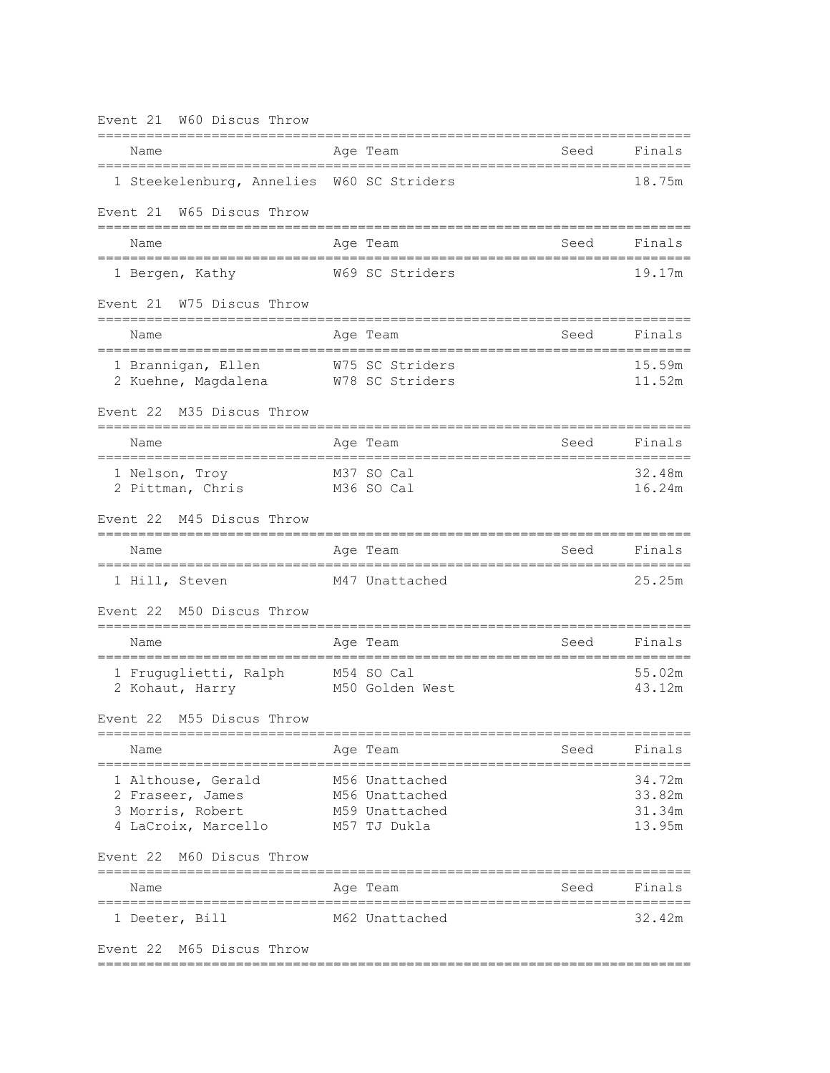| Event 21 W60 Discus Throw                                                         |                                                                    |      |                                      |
|-----------------------------------------------------------------------------------|--------------------------------------------------------------------|------|--------------------------------------|
| Name                                                                              | Age Team                                                           | Seed | Finals                               |
| 1 Steekelenburg, Annelies W60 SC Striders                                         |                                                                    |      | 18.75m                               |
| Event 21 W65 Discus Throw                                                         |                                                                    |      |                                      |
| Name                                                                              | Age Team                                                           | Seed | Finals                               |
| 1 Bergen, Kathy                                                                   | W69 SC Striders                                                    |      | 19.17m                               |
| Event 21 W75 Discus Throw                                                         |                                                                    |      |                                      |
| Name                                                                              | Age Team<br>=================================                      | Seed | Finals                               |
| 1 Brannigan, Ellen W75 SC Striders<br>2 Kuehne, Magdalena W78 SC Striders         |                                                                    |      | 15.59m<br>11.52m                     |
| M35 Discus Throw<br>Event 22<br>;=======================                          |                                                                    |      |                                      |
| Name                                                                              | Age Team                                                           | Seed | Finals                               |
| 1 Nelson, Troy<br>2 Pittman, Chris                                                | M37 SO Cal<br>M36 SO Cal                                           |      | 32.48m<br>16.24m                     |
| Event 22 M45 Discus Throw                                                         |                                                                    |      |                                      |
| Name                                                                              | Age Team                                                           | Seed | Finals                               |
| 1 Hill, Steven                                                                    | M47 Unattached                                                     |      | 25.25m                               |
| Event 22 M50 Discus Throw<br>=====================                                |                                                                    |      |                                      |
| Name                                                                              | Age Team                                                           | Seed | Finals                               |
| 1 Fruguglietti, Ralph M54 SO Cal<br>2 Kohaut, Harry                               | M50 Golden West                                                    |      | 55.02m<br>43.12m                     |
| M55 Discus Throw<br>Event 22                                                      |                                                                    |      |                                      |
| Name                                                                              | Age Team                                                           | Seed | Finals                               |
| 1 Althouse, Gerald<br>2 Fraseer, James<br>3 Morris, Robert<br>4 LaCroix, Marcello | M56 Unattached<br>M56 Unattached<br>M59 Unattached<br>M57 TJ Dukla |      | 34.72m<br>33.82m<br>31.34m<br>13.95m |
| Event 22 M60 Discus Throw                                                         |                                                                    |      |                                      |
| Name<br>==================================                                        | Age Team                                                           | Seed | Finals                               |
| 1 Deeter, Bill                                                                    | M62 Unattached                                                     |      | 32.42m                               |
| Event 22 M65 Discus Throw                                                         |                                                                    |      |                                      |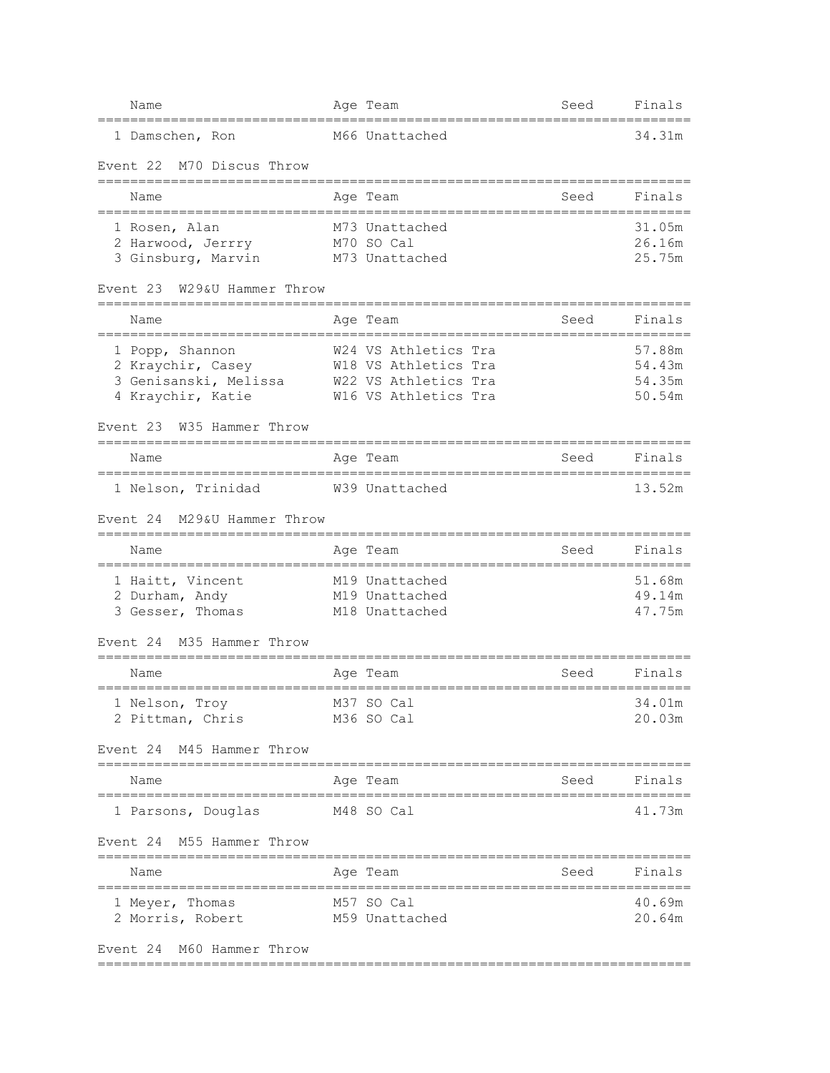| 34.31m<br>1 Damschen, Ron<br>M66 Unattached<br>Event 22<br>M70 Discus Throw<br>Finals<br>Seed<br>Name<br>Age Team<br>31.05m<br>1 Rosen, Alan<br>M73 Unattached<br>26.16m<br>M70 SO Cal<br>2 Harwood, Jerrry<br>3 Ginsburg, Marvin<br>25.75m<br>M73 Unattached<br>W29&U Hammer Throw<br>Event 23<br>Finals<br>Age Team<br>Seed<br>Name<br>W24 VS Athletics Tra<br>57.88m<br>1 Popp, Shannon<br>2 Kraychir, Casey<br>W18 VS Athletics Tra<br>54.43m<br>3 Genisanski, Melissa<br>54.35m<br>W22 VS Athletics Tra<br>4 Kraychir, Katie<br>W16 VS Athletics Tra<br>50.54m<br>W35 Hammer Throw<br>Event 23<br>Name<br>Seed<br>Finals<br>Age Team<br>1 Nelson, Trinidad W39 Unattached<br>13.52m<br>M29&U Hammer Throw<br>Event 24<br>Finals<br>Name<br>Age Team<br>Seed<br>51.68m<br>1 Haitt, Vincent<br>M19 Unattached<br>2 Durham, Andy<br>49.14m<br>M19 Unattached<br>3 Gesser, Thomas<br>M18 Unattached<br>47.75m<br>M35 Hammer Throw<br>Event 24<br>Finals<br>Name<br>Seed<br>Age Team<br>M37 SO Cal<br>1 Nelson, Troy<br>34.01m<br>20.03m<br>2 Pittman, Chris<br>M36 SO Cal<br>Event 24 M45 Hammer Throw<br>Finals<br>Seed<br>Name<br>Age Team<br>;============================<br>;==================<br>41.73m<br>1 Parsons, Douglas<br>M48 SO Cal<br>Event 24 M55 Hammer Throw<br>==============================<br>Seed<br>Finals<br>Name<br>Age Team<br>======================<br>1 Meyer, Thomas<br>M57 SO Cal<br>40.69m<br>2 Morris, Robert<br>M59 Unattached<br>20.64m<br>Event 24 M60 Hammer Throw | Name | Age Team | Seed | Finals |
|------------------------------------------------------------------------------------------------------------------------------------------------------------------------------------------------------------------------------------------------------------------------------------------------------------------------------------------------------------------------------------------------------------------------------------------------------------------------------------------------------------------------------------------------------------------------------------------------------------------------------------------------------------------------------------------------------------------------------------------------------------------------------------------------------------------------------------------------------------------------------------------------------------------------------------------------------------------------------------------------------------------------------------------------------------------------------------------------------------------------------------------------------------------------------------------------------------------------------------------------------------------------------------------------------------------------------------------------------------------------------------------------------------------------------------------------------------------------------------------------------------|------|----------|------|--------|
|                                                                                                                                                                                                                                                                                                                                                                                                                                                                                                                                                                                                                                                                                                                                                                                                                                                                                                                                                                                                                                                                                                                                                                                                                                                                                                                                                                                                                                                                                                            |      |          |      |        |
|                                                                                                                                                                                                                                                                                                                                                                                                                                                                                                                                                                                                                                                                                                                                                                                                                                                                                                                                                                                                                                                                                                                                                                                                                                                                                                                                                                                                                                                                                                            |      |          |      |        |
|                                                                                                                                                                                                                                                                                                                                                                                                                                                                                                                                                                                                                                                                                                                                                                                                                                                                                                                                                                                                                                                                                                                                                                                                                                                                                                                                                                                                                                                                                                            |      |          |      |        |
|                                                                                                                                                                                                                                                                                                                                                                                                                                                                                                                                                                                                                                                                                                                                                                                                                                                                                                                                                                                                                                                                                                                                                                                                                                                                                                                                                                                                                                                                                                            |      |          |      |        |
|                                                                                                                                                                                                                                                                                                                                                                                                                                                                                                                                                                                                                                                                                                                                                                                                                                                                                                                                                                                                                                                                                                                                                                                                                                                                                                                                                                                                                                                                                                            |      |          |      |        |
|                                                                                                                                                                                                                                                                                                                                                                                                                                                                                                                                                                                                                                                                                                                                                                                                                                                                                                                                                                                                                                                                                                                                                                                                                                                                                                                                                                                                                                                                                                            |      |          |      |        |
|                                                                                                                                                                                                                                                                                                                                                                                                                                                                                                                                                                                                                                                                                                                                                                                                                                                                                                                                                                                                                                                                                                                                                                                                                                                                                                                                                                                                                                                                                                            |      |          |      |        |
|                                                                                                                                                                                                                                                                                                                                                                                                                                                                                                                                                                                                                                                                                                                                                                                                                                                                                                                                                                                                                                                                                                                                                                                                                                                                                                                                                                                                                                                                                                            |      |          |      |        |
|                                                                                                                                                                                                                                                                                                                                                                                                                                                                                                                                                                                                                                                                                                                                                                                                                                                                                                                                                                                                                                                                                                                                                                                                                                                                                                                                                                                                                                                                                                            |      |          |      |        |
|                                                                                                                                                                                                                                                                                                                                                                                                                                                                                                                                                                                                                                                                                                                                                                                                                                                                                                                                                                                                                                                                                                                                                                                                                                                                                                                                                                                                                                                                                                            |      |          |      |        |
|                                                                                                                                                                                                                                                                                                                                                                                                                                                                                                                                                                                                                                                                                                                                                                                                                                                                                                                                                                                                                                                                                                                                                                                                                                                                                                                                                                                                                                                                                                            |      |          |      |        |
|                                                                                                                                                                                                                                                                                                                                                                                                                                                                                                                                                                                                                                                                                                                                                                                                                                                                                                                                                                                                                                                                                                                                                                                                                                                                                                                                                                                                                                                                                                            |      |          |      |        |
|                                                                                                                                                                                                                                                                                                                                                                                                                                                                                                                                                                                                                                                                                                                                                                                                                                                                                                                                                                                                                                                                                                                                                                                                                                                                                                                                                                                                                                                                                                            |      |          |      |        |
|                                                                                                                                                                                                                                                                                                                                                                                                                                                                                                                                                                                                                                                                                                                                                                                                                                                                                                                                                                                                                                                                                                                                                                                                                                                                                                                                                                                                                                                                                                            |      |          |      |        |
|                                                                                                                                                                                                                                                                                                                                                                                                                                                                                                                                                                                                                                                                                                                                                                                                                                                                                                                                                                                                                                                                                                                                                                                                                                                                                                                                                                                                                                                                                                            |      |          |      |        |
|                                                                                                                                                                                                                                                                                                                                                                                                                                                                                                                                                                                                                                                                                                                                                                                                                                                                                                                                                                                                                                                                                                                                                                                                                                                                                                                                                                                                                                                                                                            |      |          |      |        |
|                                                                                                                                                                                                                                                                                                                                                                                                                                                                                                                                                                                                                                                                                                                                                                                                                                                                                                                                                                                                                                                                                                                                                                                                                                                                                                                                                                                                                                                                                                            |      |          |      |        |
|                                                                                                                                                                                                                                                                                                                                                                                                                                                                                                                                                                                                                                                                                                                                                                                                                                                                                                                                                                                                                                                                                                                                                                                                                                                                                                                                                                                                                                                                                                            |      |          |      |        |
|                                                                                                                                                                                                                                                                                                                                                                                                                                                                                                                                                                                                                                                                                                                                                                                                                                                                                                                                                                                                                                                                                                                                                                                                                                                                                                                                                                                                                                                                                                            |      |          |      |        |
|                                                                                                                                                                                                                                                                                                                                                                                                                                                                                                                                                                                                                                                                                                                                                                                                                                                                                                                                                                                                                                                                                                                                                                                                                                                                                                                                                                                                                                                                                                            |      |          |      |        |
|                                                                                                                                                                                                                                                                                                                                                                                                                                                                                                                                                                                                                                                                                                                                                                                                                                                                                                                                                                                                                                                                                                                                                                                                                                                                                                                                                                                                                                                                                                            |      |          |      |        |
|                                                                                                                                                                                                                                                                                                                                                                                                                                                                                                                                                                                                                                                                                                                                                                                                                                                                                                                                                                                                                                                                                                                                                                                                                                                                                                                                                                                                                                                                                                            |      |          |      |        |
|                                                                                                                                                                                                                                                                                                                                                                                                                                                                                                                                                                                                                                                                                                                                                                                                                                                                                                                                                                                                                                                                                                                                                                                                                                                                                                                                                                                                                                                                                                            |      |          |      |        |
|                                                                                                                                                                                                                                                                                                                                                                                                                                                                                                                                                                                                                                                                                                                                                                                                                                                                                                                                                                                                                                                                                                                                                                                                                                                                                                                                                                                                                                                                                                            |      |          |      |        |
|                                                                                                                                                                                                                                                                                                                                                                                                                                                                                                                                                                                                                                                                                                                                                                                                                                                                                                                                                                                                                                                                                                                                                                                                                                                                                                                                                                                                                                                                                                            |      |          |      |        |
|                                                                                                                                                                                                                                                                                                                                                                                                                                                                                                                                                                                                                                                                                                                                                                                                                                                                                                                                                                                                                                                                                                                                                                                                                                                                                                                                                                                                                                                                                                            |      |          |      |        |
|                                                                                                                                                                                                                                                                                                                                                                                                                                                                                                                                                                                                                                                                                                                                                                                                                                                                                                                                                                                                                                                                                                                                                                                                                                                                                                                                                                                                                                                                                                            |      |          |      |        |
|                                                                                                                                                                                                                                                                                                                                                                                                                                                                                                                                                                                                                                                                                                                                                                                                                                                                                                                                                                                                                                                                                                                                                                                                                                                                                                                                                                                                                                                                                                            |      |          |      |        |
|                                                                                                                                                                                                                                                                                                                                                                                                                                                                                                                                                                                                                                                                                                                                                                                                                                                                                                                                                                                                                                                                                                                                                                                                                                                                                                                                                                                                                                                                                                            |      |          |      |        |
|                                                                                                                                                                                                                                                                                                                                                                                                                                                                                                                                                                                                                                                                                                                                                                                                                                                                                                                                                                                                                                                                                                                                                                                                                                                                                                                                                                                                                                                                                                            |      |          |      |        |
|                                                                                                                                                                                                                                                                                                                                                                                                                                                                                                                                                                                                                                                                                                                                                                                                                                                                                                                                                                                                                                                                                                                                                                                                                                                                                                                                                                                                                                                                                                            |      |          |      |        |
|                                                                                                                                                                                                                                                                                                                                                                                                                                                                                                                                                                                                                                                                                                                                                                                                                                                                                                                                                                                                                                                                                                                                                                                                                                                                                                                                                                                                                                                                                                            |      |          |      |        |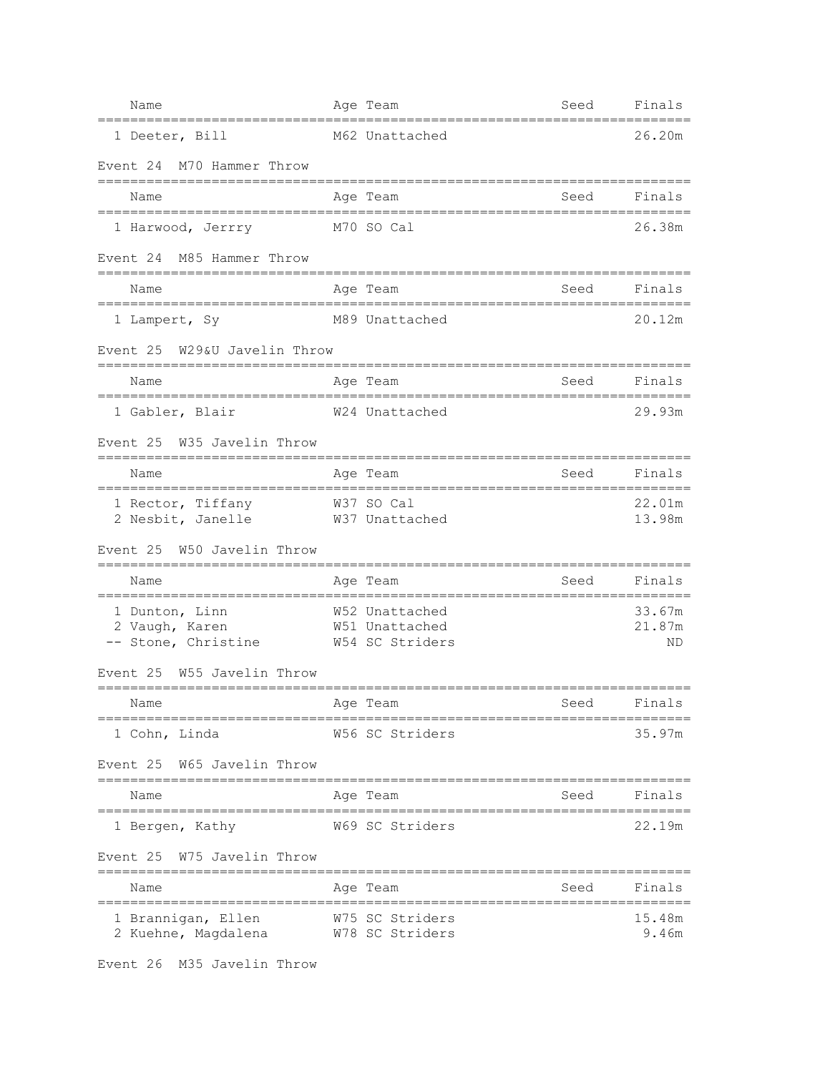| Name                                                                           | Age Team                                            | Seed        | Finals                 |
|--------------------------------------------------------------------------------|-----------------------------------------------------|-------------|------------------------|
| 1 Deeter, Bill                                                                 | M62 Unattached                                      |             | 26.20m                 |
| Event 24 M70 Hammer Throw                                                      |                                                     |             |                        |
| Name                                                                           | Age Team                                            | Seed        | Finals                 |
| 1 Harwood, Jerrry<br>M70 SO Cal                                                |                                                     |             | 26.38m                 |
| Event 24 M85 Hammer Throw                                                      |                                                     |             |                        |
| Name                                                                           | Age Team                                            | Seed        | Finals                 |
| 1 Lampert, Sy                                                                  | M89 Unattached                                      |             | 20.12m                 |
| W29&U Javelin Throw<br>Event 25<br>-=================================<br>===== | ---------------                                     |             |                        |
| Name<br>.========================                                              | Age Team<br>======================                  | Seed        | Finals                 |
| 1 Gabler, Blair                                                                | W24 Unattached                                      |             | 29.93m                 |
| Event 25 W35 Javelin Throw                                                     |                                                     |             |                        |
| Name                                                                           | Age Team                                            | Seed        | Finals                 |
| 1 Rector, Tiffany W37 SO Cal<br>2 Nesbit, Janelle                              | W37 Unattached                                      |             | 22.01m<br>13.98m       |
| Event 25 W50 Javelin Throw                                                     |                                                     |             |                        |
| Name                                                                           | Age Team                                            | Seed        | Finals                 |
| 1 Dunton, Linn<br>2 Vaugh, Karen<br>-- Stone, Christine                        | W52 Unattached<br>W51 Unattached<br>W54 SC Striders |             | 33.67m<br>21.87m<br>ΝD |
| W55 Javelin Throw<br>Event 25                                                  |                                                     |             |                        |
| Name<br>Age Team                                                               |                                                     | Seed Finals |                        |
| 1 Cohn, Linda                                                                  | W56 SC Striders                                     |             | 35.97m                 |
| Event 25 W65 Javelin Throw                                                     | --------------------                                |             |                        |
| Name<br>==========================                                             | Age Team<br>.========================               | Seed        | Finals                 |
| 1 Bergen, Kathy                                                                | W69 SC Striders                                     |             | 22.19m                 |
| Event 25 W75 Javelin Throw                                                     |                                                     |             |                        |
| Name                                                                           | Age Team                                            | Seed        | Finals                 |
| 1 Brannigan, Ellen<br>2 Kuehne, Magdalena                                      | W75 SC Striders<br>W78 SC Striders                  |             | 15.48m<br>9.46m        |

Event 26 M35 Javelin Throw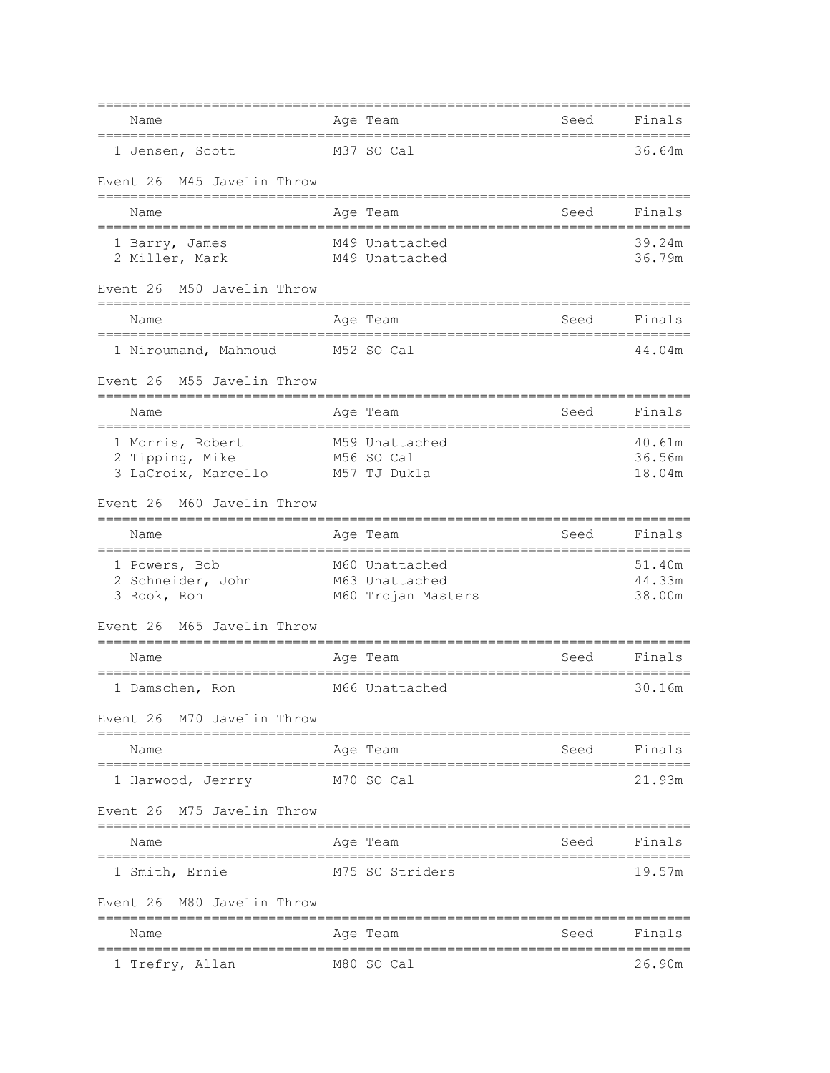| Name                                                                                                | Age Team                                                 | Seed                | Finals                               |
|-----------------------------------------------------------------------------------------------------|----------------------------------------------------------|---------------------|--------------------------------------|
| 1 Jensen, Scott                                                                                     | - M37 SO Cal                                             |                     | 36.64m                               |
| M45 Javelin Throw<br>Event 26                                                                       |                                                          |                     |                                      |
| Name                                                                                                | Age Team                                                 | Seed                | Finals                               |
| 1 Barry, James<br>2 Miller, Mark                                                                    | M49 Unattached<br>M49 Unattached                         |                     | 39.24m<br>36.79m                     |
| M50 Javelin Throw<br>Event 26                                                                       |                                                          |                     |                                      |
| Name                                                                                                | Age Team                                                 | Seed                | Finals                               |
| 1 Niroumand, Mahmoud<br>Event 26 M55 Javelin Throw                                                  | M52 SO Cal                                               |                     | 44.04m                               |
| -===================================                                                                |                                                          |                     |                                      |
| Name<br>1 Morris, Robert<br>2 Tipping, Mike<br>3 LaCroix, Marcello<br>M60 Javelin Throw<br>Event 26 | Age Team<br>M59 Unattached<br>M56 SO Cal<br>M57 TJ Dukla | Seed                | Finals<br>40.61m<br>36.56m<br>18.04m |
| Name                                                                                                | Age Team                                                 | Seed                | Finals                               |
| 1 Powers, Bob<br>2 Schneider, John<br>3 Rook, Ron                                                   | M60 Unattached<br>M63 Unattached<br>M60 Trojan Masters   |                     | 51.40m<br>44.33m<br>38.00m           |
| M65 Javelin Throw<br>Event 26                                                                       |                                                          |                     |                                      |
| Name                                                                                                | Age Team                                                 | Seed                | Finals                               |
| 1 Damschen, Ron<br>Event 26 M70 Javelin Throw                                                       | M66 Unattached                                           |                     | 30.16m                               |
| Name                                                                                                | Age Team                                                 | Seed                | Finals                               |
| ==================<br>1 Harwood, Jerrry                                                             | ==================<br>M70 SO Cal                         | ;================== | 21.93m                               |
| Event 26 M75 Javelin Throw                                                                          |                                                          |                     |                                      |
| Name                                                                                                | Age Team                                                 | Seed                | Finals                               |
| 1 Smith, Ernie                                                                                      | M75 SC Striders                                          |                     | 19.57m                               |
| M80 Javelin Throw<br>Event 26                                                                       |                                                          |                     |                                      |
| Name                                                                                                | Age Team                                                 | Seed                | Finals<br>==========                 |
| 1 Trefry, Allan                                                                                     | M80 SO Cal                                               |                     | 26.90m                               |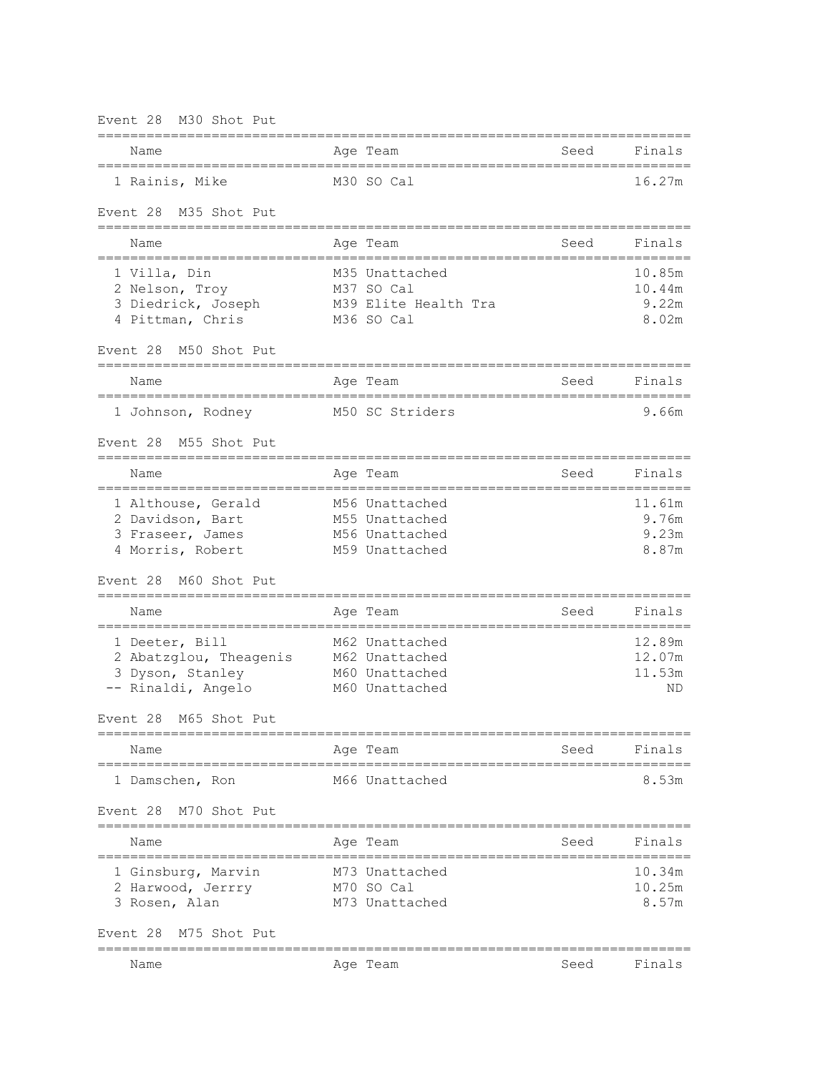| M30 Shot Put<br>Event 28                                                                                   |                                                                      |              |                                    |
|------------------------------------------------------------------------------------------------------------|----------------------------------------------------------------------|--------------|------------------------------------|
| Name                                                                                                       | Age Team                                                             | Seed         | Finals                             |
| 1 Rainis, Mike                                                                                             | M30 SO Cal                                                           |              | 16.27m                             |
| Event 28 M35 Shot Put                                                                                      |                                                                      |              |                                    |
| ==========================<br>Name                                                                         | Age Team                                                             | Seed         | Finals                             |
| =================<br>1 Villa, Din<br>2 Nelson, Troy<br>3 Diedrick, Joseph<br>4 Pittman, Chris              | M35 Unattached<br>M37 SO Cal<br>M39 Elite Health Tra<br>M36 SO Cal   | ============ | 10.85m<br>10.44m<br>9.22m<br>8.02m |
| M50 Shot Put<br>Event 28<br>-----------------------                                                        |                                                                      |              |                                    |
| Name                                                                                                       | Age Team                                                             | Seed         | Finals                             |
| 1 Johnson, Rodney                                                                                          | M50 SC Striders                                                      |              | 9.66m                              |
| M55 Shot Put<br>Event 28                                                                                   |                                                                      |              |                                    |
| Name                                                                                                       | Aqe Team                                                             | Seed         | Finals                             |
| 1 Althouse, Gerald<br>2 Davidson, Bart<br>3 Fraseer, James<br>4 Morris, Robert<br>Event 28<br>M60 Shot Put | M56 Unattached<br>M55 Unattached<br>M56 Unattached<br>M59 Unattached |              | 11.61m<br>9.76m<br>9.23m<br>8.87m  |
| Name                                                                                                       | Aqe Team                                                             | Seed         | Finals                             |
| 1 Deeter, Bill<br>2 Abatzglou, Theagenis<br>3 Dyson, Stanley<br>-- Rinaldi, Angelo                         | M62 Unattached<br>M62 Unattached<br>M60 Unattached<br>M60 Unattached |              | 12.89m<br>12.07m<br>11.53m<br>ΝD   |
| Event 28 M65 Shot Put                                                                                      |                                                                      |              |                                    |
| Name                                                                                                       | Aqe Team                                                             | Seed         | Finals                             |
| 1 Damschen, Ron                                                                                            | M66 Unattached                                                       |              | 8.53m                              |
| M70 Shot Put<br>Event 28                                                                                   |                                                                      |              |                                    |
| Name                                                                                                       | Aqe Team                                                             | Seed         | Finals                             |
| 1 Ginsburg, Marvin<br>2 Harwood, Jerrry<br>3 Rosen, Alan                                                   | M73 Unattached<br>M70 SO Cal<br>M73 Unattached                       |              | 10.34m<br>10.25m<br>8.57m          |
| M75 Shot Put<br>Event 28                                                                                   |                                                                      |              |                                    |
| Name                                                                                                       | Age Team                                                             | Seed         | Finals                             |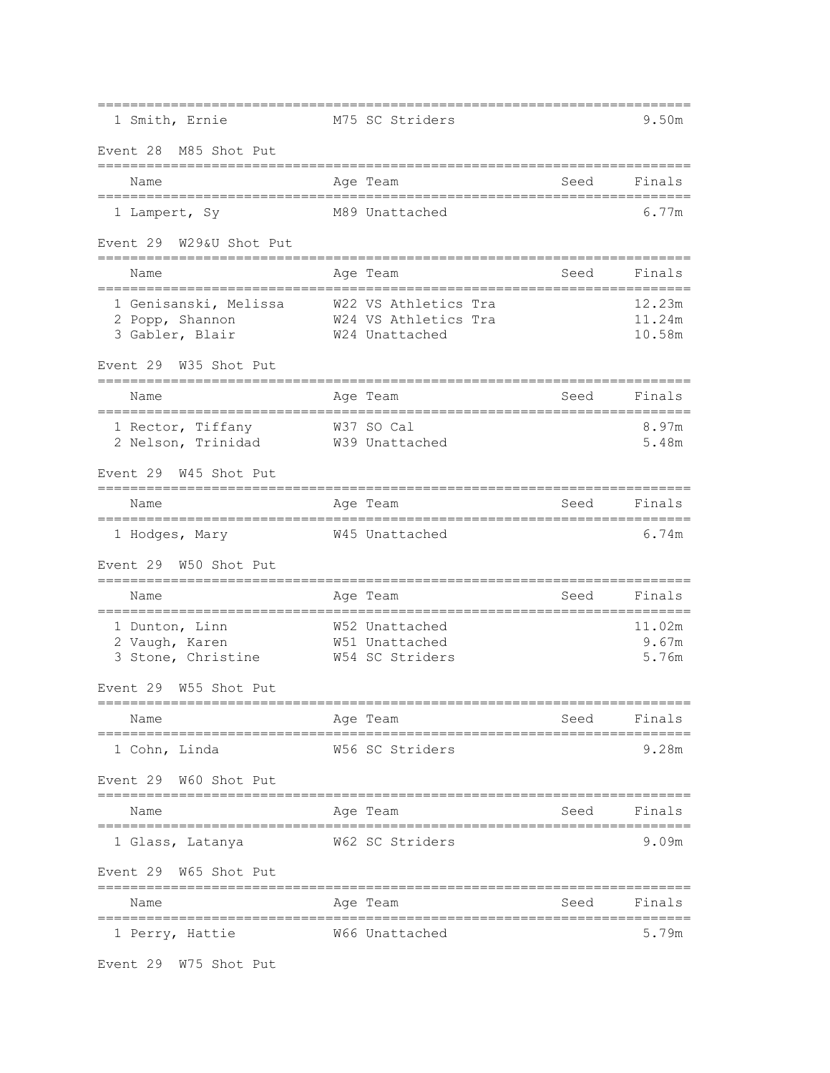| 1 Smith, Ernie                                              | M75 SC Striders                                                |      | 9.50m                      |
|-------------------------------------------------------------|----------------------------------------------------------------|------|----------------------------|
| Event 28 M85 Shot Put                                       |                                                                |      |                            |
| Name                                                        | Age Team                                                       | Seed | Finals                     |
| 1 Lampert, Sy                                               | M89 Unattached                                                 |      | 6.77m                      |
| W29&U Shot Put<br>Event 29                                  |                                                                |      |                            |
| Name                                                        | Age Team                                                       | Seed | Finals                     |
| 1 Genisanski, Melissa<br>2 Popp, Shannon<br>3 Gabler, Blair | W22 VS Athletics Tra<br>W24 VS Athletics Tra<br>W24 Unattached |      | 12.23m<br>11.24m<br>10.58m |
| Event 29 W35 Shot Put                                       |                                                                |      |                            |
| Name                                                        | Age Team                                                       | Seed | Finals                     |
| 1 Rector, Tiffany<br>2 Nelson, Trinidad                     | W37 SO Cal<br>W39 Unattached                                   |      | 8.97m<br>5.48m             |
| Event 29 W45 Shot Put                                       |                                                                |      |                            |
| Name                                                        | Age Team                                                       | Seed | Finals                     |
| 1 Hodges, Mary                                              | W45 Unattached                                                 |      | 6.74m                      |
| W50 Shot Put<br>Event 29                                    |                                                                |      |                            |
| Name<br>====================<br>--------                    | Age Team                                                       | Seed | Finals                     |
| 1 Dunton, Linn<br>2 Vaugh, Karen<br>3 Stone, Christine      | W52 Unattached<br>W51 Unattached<br>W54 SC Striders            |      | 11.02m<br>9.67m<br>5.76m   |
| Event 29<br>W55 Shot Put                                    |                                                                |      |                            |
| Name<br>---------                                           | Age Team                                                       | Seed | Finals                     |
| 1 Cohn, Linda                                               | W56 SC Striders                                                |      | 9.28m                      |
| Event 29 W60 Shot Put                                       |                                                                |      |                            |
| Name<br>-------------------                                 | Age Team                                                       | Seed | Finals                     |
| 1 Glass, Latanya                                            | W62 SC Striders                                                |      | 9.09m                      |
| Event 29 W65 Shot Put                                       |                                                                |      |                            |
| Name                                                        | Age Team                                                       | Seed | Finals                     |
| 1 Perry, Hattie                                             | W66 Unattached                                                 |      | 5.79m                      |

Event 29 W75 Shot Put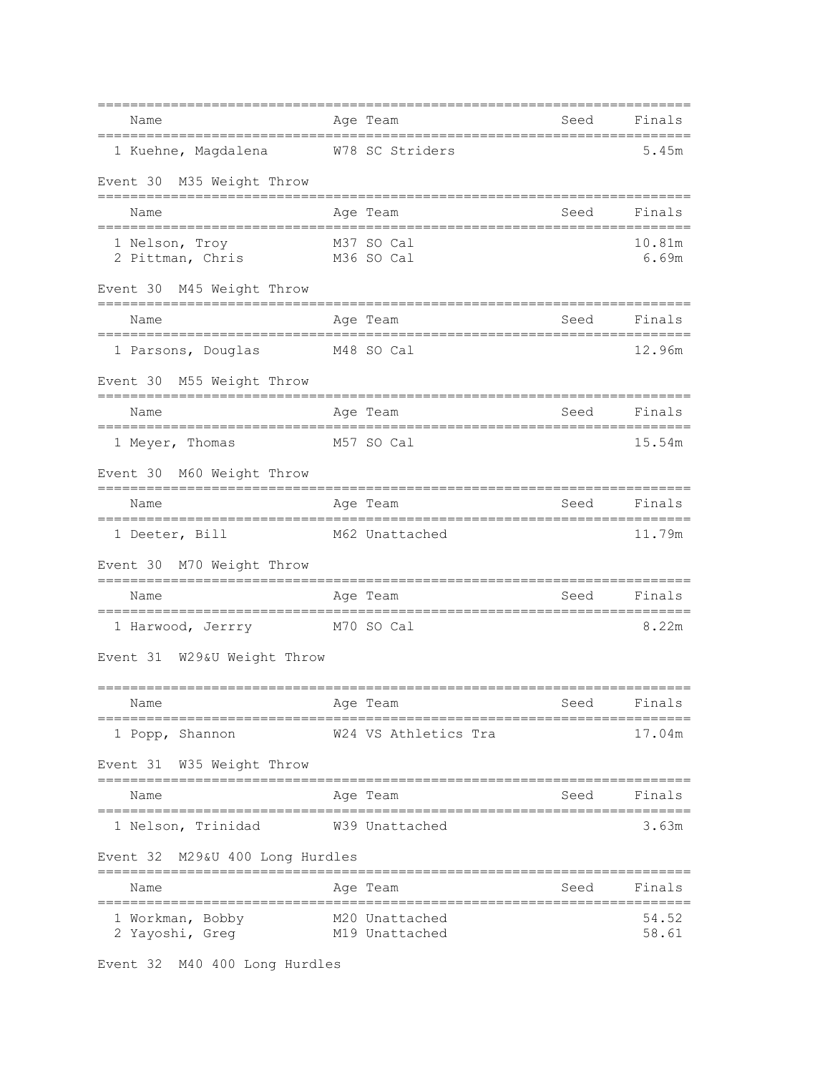| Name<br>================================                | Age Team<br>===========                                            | Seed<br>======= | Finals          |
|---------------------------------------------------------|--------------------------------------------------------------------|-----------------|-----------------|
| 1 Kuehne, Magdalena W78 SC Striders                     |                                                                    |                 | 5.45m           |
| Event 30 M35 Weight Throw                               |                                                                    |                 |                 |
| Name                                                    | Age Team                                                           | Seed            | Finals          |
| 1 Nelson, Troy M37 SO Cal<br>2 Pittman, Chris           | M36 SO Cal                                                         |                 | 10.81m<br>6.69m |
| Event 30 M45 Weight Throw                               |                                                                    |                 |                 |
| Name                                                    | Age Team                                                           | Seed            | Finals          |
| M48 SO Cal<br>1 Parsons, Douglas                        |                                                                    |                 | 12.96m          |
| Event 30 M55 Weight Throw                               |                                                                    |                 |                 |
| Name                                                    | Age Team                                                           | Seed            | Finals          |
| 1 Meyer, Thomas<br>M57 SO Cal                           |                                                                    |                 | 15.54m          |
| Event 30 M60 Weight Throw                               |                                                                    |                 |                 |
| Name                                                    | Age Team                                                           | Seed            | Finals          |
| 1 Deeter, Bill<br>M62 Unattached                        |                                                                    |                 | 11.79m          |
| Event 30 M70 Weight Throw                               |                                                                    |                 |                 |
| Name                                                    | Age Team                                                           | Seed            | Finals          |
| 1 Harwood, Jerrry M70 SO Cal                            |                                                                    |                 | 8.22m           |
| Event 31 W29&U Weight Throw                             |                                                                    |                 |                 |
| Age Team<br>Name                                        | Seed Finals                                                        |                 |                 |
| 1 Popp, Shannon                                         | W24 VS Athletics Tra                                               |                 | 17.04m          |
| Event 31 W35 Weight Throw                               |                                                                    |                 |                 |
| Name                                                    | Age Team                                                           | Seed Finals     |                 |
| ;================================<br>1 Nelson, Trinidad | ================================<br>W39 Unattached                 |                 | 3.63m           |
| Event 32 M29&U 400 Long Hurdles                         |                                                                    |                 |                 |
| Name                                                    | Age Team                                                           | Seed            | Finals          |
| 1 Workman, Bobby<br>2 Yayoshi, Greg                     | ==============================<br>M20 Unattached<br>M19 Unattached |                 | 54.52<br>58.61  |

Event 32 M40 400 Long Hurdles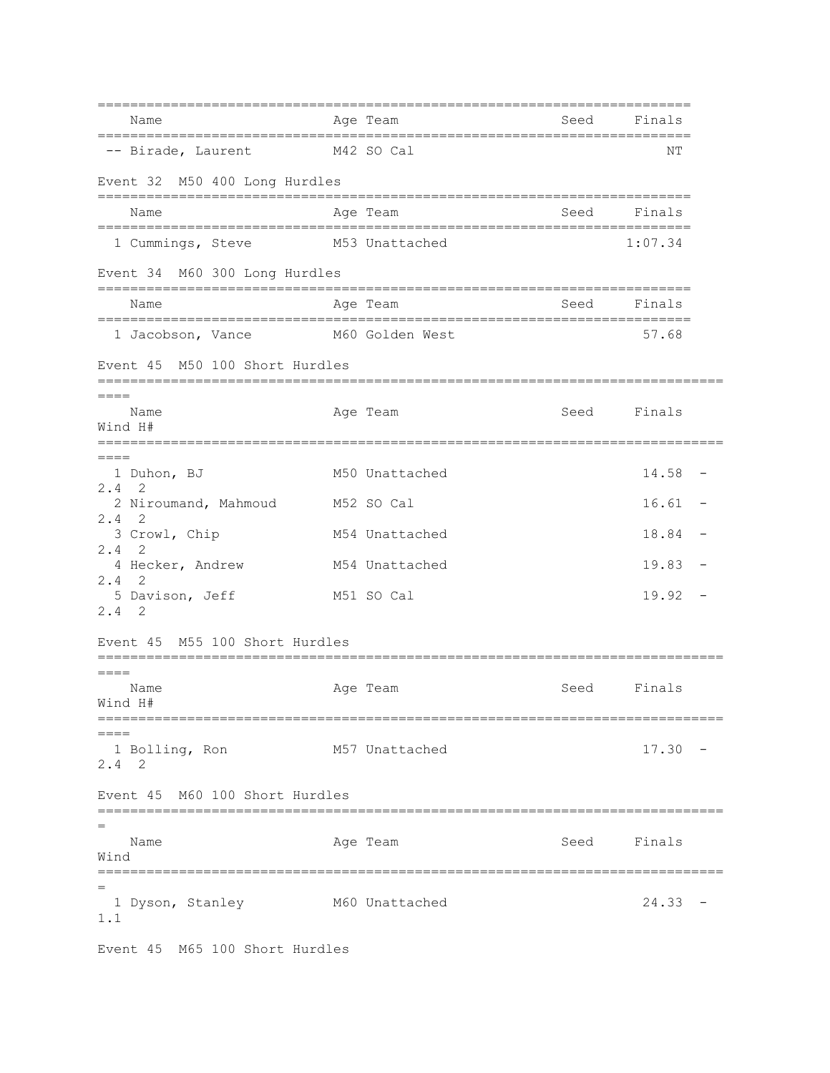| Name                                       |  | =================================<br>Age Team | Seed        | Finals      |                          |
|--------------------------------------------|--|-----------------------------------------------|-------------|-------------|--------------------------|
| -- Birade, Laurent<br>M42 SO Cal           |  |                                               |             | NΤ          |                          |
| Event 32 M50 400 Long Hurdles              |  |                                               |             |             |                          |
| Name                                       |  | =============================<br>Age Team     | Seed        | Finals      |                          |
| 1 Cummings, Steve                          |  | M53 Unattached                                |             | 1:07.34     |                          |
| Event 34 M60 300 Long Hurdles              |  |                                               |             |             |                          |
| Name                                       |  | Age Team                                      | Seed        | Finals      |                          |
| 1 Jacobson, Vance                          |  | M60 Golden West                               |             | 57.68       |                          |
| Event 45 M50 100 Short Hurdles             |  |                                               |             |             |                          |
| ====<br>Name<br>Wind H#                    |  | Age Team                                      |             | Seed Finals |                          |
| $=====$<br>1 Duhon, BJ<br>$2.4$ 2          |  | M50 Unattached                                |             | 14.58       | $\overline{\phantom{m}}$ |
| 2 Niroumand, Mahmoud<br>2.4<br>- 2         |  | M52 SO Cal                                    |             | 16.61       |                          |
| 3 Crowl, Chip                              |  | M54 Unattached                                |             | 18.84       |                          |
| $2.4 \quad 2$<br>4 Hecker, Andrew          |  | M54 Unattached                                |             | 19.83       |                          |
| $2.4$ 2<br>5 Davison, Jeff<br>$2.4$ 2      |  | M51 SO Cal                                    |             | 19.92       |                          |
| Event 45 M55 100 Short Hurdles             |  |                                               |             |             |                          |
| Name<br>Wind H#                            |  | Age Team                                      | Seed        | Finals      |                          |
| $=====$<br>1 Bolling, Ron<br>$2.4 \quad 2$ |  | M57 Unattached                                |             | 17.30       |                          |
| Event 45 M60 100 Short Hurdles             |  |                                               |             |             |                          |
| Name<br>Wind                               |  | Age Team                                      | Seed Finals |             |                          |
| $=$<br>1 Dyson, Stanley<br>1.1             |  | M60 Unattached                                |             | 24.33       |                          |

Event 45 M65 100 Short Hurdles